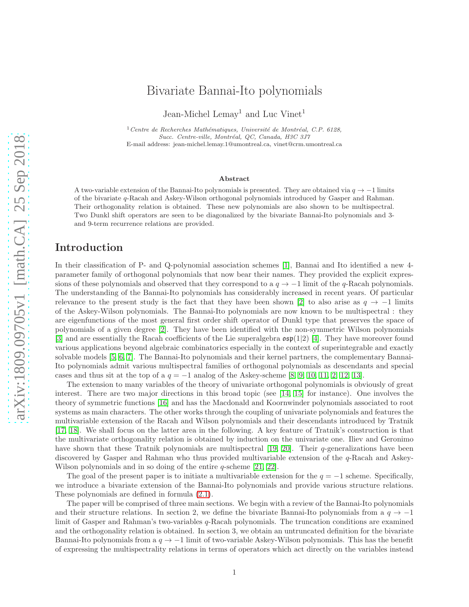# Bivariate Bannai-Ito polynomials

Jean-Michel Lemay<sup>1</sup> and Luc Vinet<sup>1</sup>

 $1$  Centre de Recherches Mathématiques, Université de Montréal, C.P. 6128, Succ. Centre-ville, Montréal, QC, Canada, H3C 3J7 E-mail address: jean-michel.lemay.1@umontreal.ca, vinet@crm.umontreal.ca

#### Abstract

A two-variable extension of the Bannai-Ito polynomials is presented. They are obtained via  $q \to -1$  limits of the bivariate q-Racah and Askey-Wilson orthogonal polynomials introduced by Gasper and Rahman. Their orthogonality relation is obtained. These new polynomials are also shown to be multispectral. Two Dunkl shift operators are seen to be diagonalized by the bivariate Bannai-Ito polynomials and 3 and 9-term recurrence relations are provided.

### Introduction

In their classification of P- and Q-polynomial association schemes [\[1\]](#page-16-0), Bannai and Ito identified a new 4 parameter family of orthogonal polynomials that now bear their names. They provided the explicit expressions of these polynomials and observed that they correspond to a  $q \to -1$  limit of the q-Racah polynomials. The understanding of the Bannai-Ito polynomials has considerably increased in recent years. Of particular relevance to the present study is the fact that they have been shown [\[2\]](#page-16-1) to also arise as  $q \to -1$  limits of the Askey-Wilson polynomials. The Bannai-Ito polynomials are now known to be multispectral : they are eigenfunctions of the most general first order shift operator of Dunkl type that preserves the space of polynomials of a given degree [\[2\]](#page-16-1). They have been identified with the non-symmetric Wilson polynomials [\[3\]](#page-16-2) and are essentially the Racah coefficients of the Lie superalgebra osp(1|2) [\[4\]](#page-16-3). They have moreover found various applications beyond algebraic combinatorics especially in the context of superintegrable and exactly solvable models [\[5,](#page-17-0) [6,](#page-17-1) [7\]](#page-17-2). The Bannai-Ito polynomials and their kernel partners, the complementary Bannai-Ito polynomials admit various multispectral families of orthogonal polynomials as descendants and special cases and thus sit at the top of a  $q = -1$  analog of the Askey-scheme [\[8,](#page-17-3) [9,](#page-17-4) [10,](#page-17-5) [11,](#page-17-6) [2,](#page-16-1) [12,](#page-17-7) [13\]](#page-17-8).

The extension to many variables of the theory of univariate orthogonal polynomials is obviously of great interest. There are two major directions in this broad topic (see [\[14,](#page-17-9) [15\]](#page-17-10) for instance). One involves the theory of symmetric functions [\[16\]](#page-17-11) and has the Macdonald and Koornwinder polynomials associated to root systems as main characters. The other works through the coupling of univariate polynomials and features the multivariable extension of the Racah and Wilson polynomials and their descendants introduced by Tratnik [\[17,](#page-17-12) [18\]](#page-17-13). We shall focus on the latter area in the following. A key feature of Tratnik's construction is that the multivariate orthogonality relation is obtained by induction on the univariate one. Iliev and Geronimo have shown that these Tratnik polynomials are multispectral  $[19, 20]$  $[19, 20]$ . Their q-generalizations have been discovered by Gasper and Rahman who thus provided multivariable extension of the q-Racah and Askey-Wilson polynomials and in so doing of the entire *q*-scheme [\[21,](#page-17-16) [22\]](#page-17-17).

The goal of the present paper is to initiate a multivariable extension for the  $q = -1$  scheme. Specifically, we introduce a bivariate extension of the Bannai-Ito polynomials and provide various structure relations. These polynomials are defined in formula [\(2.1\)](#page-3-0).

The paper will be comprised of three main sections. We begin with a review of the Bannai-Ito polynomials and their structure relations. In section 2, we define the bivariate Bannai-Ito polynomials from a  $q \to -1$ limit of Gasper and Rahman's two-variables q-Racah polynomials. The truncation conditions are examined and the orthogonality relation is obtained. In section 3, we obtain an untruncated definition for the bivariate Bannai-Ito polynomials from a  $q \to -1$  limit of two-variable Askey-Wilson polynomials. This has the benefit of expressing the multispectrality relations in terms of operators which act directly on the variables instead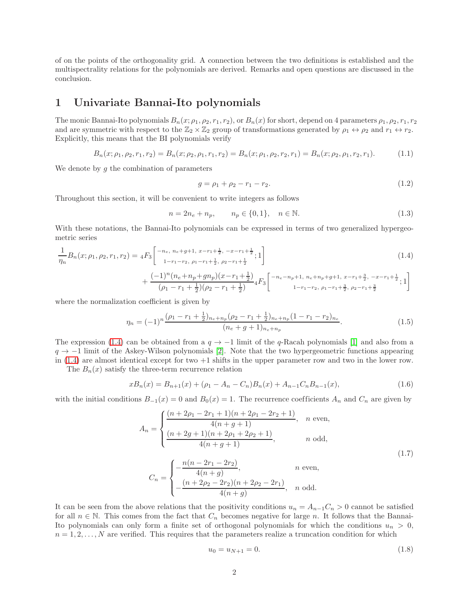of on the points of the orthogonality grid. A connection between the two definitions is established and the multispectrality relations for the polynomials are derived. Remarks and open questions are discussed in the conclusion.

### 1 Univariate Bannai-Ito polynomials

The monic Bannai-Ito polynomials  $B_n(x; \rho_1, \rho_2, r_1, r_2)$ , or  $B_n(x)$  for short, depend on 4 parameters  $\rho_1, \rho_2, r_1, r_2$ and are symmetric with respect to the  $\mathbb{Z}_2 \times \mathbb{Z}_2$  group of transformations generated by  $\rho_1 \leftrightarrow \rho_2$  and  $r_1 \leftrightarrow r_2$ . Explicitly, this means that the BI polynomials verify

$$
B_n(x; \rho_1, \rho_2, r_1, r_2) = B_n(x; \rho_2, \rho_1, r_1, r_2) = B_n(x; \rho_1, \rho_2, r_2, r_1) = B_n(x; \rho_2, \rho_1, r_2, r_1).
$$
(1.1)

We denote by  $g$  the combination of parameters

<span id="page-1-3"></span><span id="page-1-2"></span><span id="page-1-0"></span>
$$
g = \rho_1 + \rho_2 - r_1 - r_2. \tag{1.2}
$$

Throughout this section, it will be convenient to write integers as follows

$$
n = 2n_e + n_p, \qquad n_p \in \{0, 1\}, \quad n \in \mathbb{N}.
$$
 (1.3)

With these notations, the Bannai-Ito polynomials can be expressed in terms of two generalized hypergeometric series

$$
\frac{1}{\eta_n} B_n(x; \rho_1, \rho_2, r_1, r_2) = {}_4F_3 \left[ \begin{matrix} -n_e, n_e + g + 1, x - r_1 + \frac{1}{2}, -x - r_1 + \frac{1}{2} \\ 1 - r_1 - r_2, \rho_1 - r_1 + \frac{1}{2}, \rho_2 - r_1 + \frac{1}{2} \end{matrix}; 1 \right] \n+ \frac{(-1)^n (n_e + n_p + g n_p)(x - r_1 + \frac{1}{2})}{(\rho_1 - r_1 + \frac{1}{2})(\rho_2 - r_1 + \frac{1}{2})} {}_4F_3 \left[ \begin{matrix} -n_e - n_p + 1, n_e + n_p + g + 1, x - r_1 + \frac{3}{2}, -x - r_1 + \frac{1}{2} \\ 1 - r_1 - r_2, \rho_1 - r_1 + \frac{3}{2}, \rho_2 - r_1 + \frac{3}{2} \end{matrix}; 1 \right]
$$
\n(1.4)

where the normalization coefficient is given by

$$
\eta_n = (-1)^n \frac{(\rho_1 - r_1 + \frac{1}{2})_{n_e + n_p} (\rho_2 - r_1 + \frac{1}{2})_{n_e + n_p} (1 - r_1 - r_2)_{n_e}}{(n_e + g + 1)_{n_e + n_p}}.
$$
\n(1.5)

The expression [\(1.4\)](#page-1-0) can be obtained from a  $q \to -1$  limit of the q-Racah polynomials [\[1\]](#page-16-0) and also from a  $q \rightarrow -1$  limit of the Askey-Wilson polynomials [\[2\]](#page-16-1). Note that the two hypergeometric functions appearing in [\(1.4\)](#page-1-0) are almost identical except for two +1 shifts in the upper parameter row and two in the lower row.

The  $B_n(x)$  satisfy the three-term recurrence relation

$$
xB_n(x) = B_{n+1}(x) + (\rho_1 - A_n - C_n)B_n(x) + A_{n-1}C_nB_{n-1}(x),
$$
\n(1.6)

with the initial conditions  $B_{-1}(x) = 0$  and  $B_0(x) = 1$ . The recurrence coefficients  $A_n$  and  $C_n$  are given by

$$
A_n = \begin{cases} \frac{(n+2\rho_1 - 2r_1 + 1)(n+2\rho_1 - 2r_2 + 1)}{4(n+g+1)}, & n \text{ even,} \\ \frac{(n+2g+1)(n+2\rho_1 + 2\rho_2 + 1)}{4(n+g+1)}, & n \text{ odd,} \end{cases}
$$
(1.7)

$$
C_n = \begin{cases} -\frac{n(n - 2r_1 - 2r_2)}{4(n + g)}, & n \text{ even,} \\ -\frac{(n + 2\rho_2 - 2r_2)(n + 2\rho_2 - 2r_1)}{4(n + g)}, & n \text{ odd.} \end{cases}
$$

It can be seen from the above relations that the positivity conditions  $u_n = A_{n-1}C_n > 0$  cannot be satisfied for all  $n \in \mathbb{N}$ . This comes from the fact that  $C_n$  becomes negative for large n. It follows that the Bannai-Ito polynomials can only form a finite set of orthogonal polynomials for which the conditions  $u_n > 0$ ,  $n = 1, 2, \ldots, N$  are verified. This requires that the parameters realize a truncation condition for which

<span id="page-1-4"></span><span id="page-1-1"></span>
$$
u_0 = u_{N+1} = 0.\t\t(1.8)
$$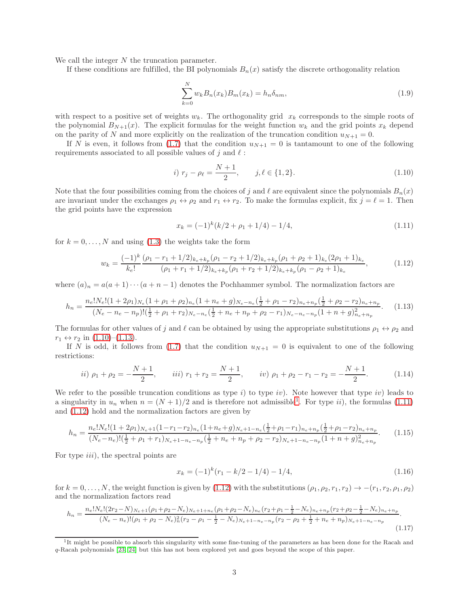We call the integer N the truncation parameter.

If these conditions are fulfilled, the BI polynomials  $B_n(x)$  satisfy the discrete orthogonality relation

$$
\sum_{k=0}^{N} w_k B_n(x_k) B_m(x_k) = h_n \delta_{nm},
$$
\n(1.9)

with respect to a positive set of weights  $w_k$ . The orthogonality grid  $x_k$  corresponds to the simple roots of the polynomial  $B_{N+1}(x)$ . The explicit formulas for the weight function  $w_k$  and the grid points  $x_k$  depend on the parity of N and more explicitly on the realization of the truncation condition  $u_{N+1} = 0$ .

If N is even, it follows from [\(1.7\)](#page-1-1) that the condition  $u_{N+1} = 0$  is tantamount to one of the following requirements associated to all possible values of j and  $\ell$ :

<span id="page-2-0"></span>*i*) 
$$
r_j - \rho_\ell = \frac{N+1}{2}, \qquad j, \ell \in \{1, 2\}.
$$
 (1.10)

Note that the four possibilities coming from the choices of j and  $\ell$  are equivalent since the polynomials  $B_n(x)$ are invariant under the exchanges  $\rho_1 \leftrightarrow \rho_2$  and  $r_1 \leftrightarrow r_2$ . To make the formulas explicit, fix  $j = \ell = 1$ . Then the grid points have the expression

<span id="page-2-4"></span><span id="page-2-3"></span><span id="page-2-1"></span>
$$
x_k = (-1)^k (k/2 + \rho_1 + 1/4) - 1/4, \tag{1.11}
$$

for  $k = 0, \ldots, N$  and using [\(1.3\)](#page-1-2) the weights take the form

$$
w_k = \frac{(-1)^k}{k_e!} \frac{(\rho_1 - r_1 + 1/2)_{k_e + k_p} (\rho_1 - r_2 + 1/2)_{k_e + k_p} (\rho_1 + \rho_2 + 1)_{k_e} (2\rho_1 + 1)_{k_e}}{(\rho_1 + r_1 + 1/2)_{k_e + k_p} (\rho_1 + r_2 + 1/2)_{k_e + k_p} (\rho_1 - \rho_2 + 1)_{k_e}},
$$
(1.12)

where  $(a)_n = a(a+1)\cdots(a+n-1)$  denotes the Pochhammer symbol. The normalization factors are

$$
h_n = \frac{n_e! N_e! (1 + 2\rho_1)_{N_e} (1 + \rho_1 + \rho_2)_{n_e} (1 + n_e + g)_{N_e - n_e} (\frac{1}{2} + \rho_1 - r_2)_{n_e + n_p} (\frac{1}{2} + \rho_2 - r_2)_{n_e + n_p}}{(N_e - n_e - n_p)! (\frac{1}{2} + \rho_1 + r_2)_{N_e - n_e} (\frac{1}{2} + n_e + n_p + \rho_2 - r_1)_{N_e - n_e - n_p} (1 + n + g)_{n_e + n_p}^2}.
$$
(1.13)

The formulas for other values of j and  $\ell$  can be obtained by using the appropriate substitutions  $\rho_1 \leftrightarrow \rho_2$  and  $r_1 \leftrightarrow r_2$  in  $(1.10)$ – $(1.13)$ .

If N is odd, it follows from [\(1.7\)](#page-1-1) that the condition  $u_{N+1} = 0$  is equivalent to one of the following restrictions:

$$
ii) \ \rho_1 + \rho_2 = -\frac{N+1}{2}, \qquad iii) \ r_1 + r_2 = \frac{N+1}{2}, \qquad iv) \ \rho_1 + \rho_2 - r_1 - r_2 = -\frac{N+1}{2}.
$$
 (1.14)

We refer to the possible truncation conditions as type i) to type iv). Note however that type iv) leads to a singularity in  $u_n$  when  $n = (N + 1)/2$  $n = (N + 1)/2$  $n = (N + 1)/2$  and is therefore not admissible<sup>1</sup>. For type *ii*), the formulas [\(1.11\)](#page-2-3) and [\(1.12\)](#page-2-4) hold and the normalization factors are given by

$$
h_n = \frac{n_e! N_e! (1 + 2\rho_1)_{N_e+1} (1 - r_1 - r_2)_{n_e} (1 + n_e + g)_{N_e+1 - n_e} (\frac{1}{2} + \rho_1 - r_1)_{n_e+n_p} (\frac{1}{2} + \rho_1 - r_2)_{n_e+n_p}}{(N_e - n_e)! (\frac{1}{2} + \rho_1 + r_1)_{N_e+1 - n_e-n_p} (\frac{1}{2} + n_e + n_p + \rho_2 - r_2)_{N_e+1 - n_e-n_p} (1 + n + g)_{n_e+n_p}^2}.
$$
(1.15)

For type *iii*), the spectral points are

<span id="page-2-7"></span><span id="page-2-6"></span><span id="page-2-5"></span>
$$
x_k = (-1)^k (r_1 - k/2 - 1/4) - 1/4,
$$
\n(1.16)

for  $k = 0, \ldots, N$ , the weight function is given by [\(1.12\)](#page-2-4) with the substitutions  $(\rho_1, \rho_2, r_1, r_2) \rightarrow -(r_1, r_2, \rho_1, \rho_2)$ and the normalization factors read

$$
h_n = \frac{n_e! N_e! (2r_2 - N)_{N_e+1} (\rho_1 + \rho_2 - N_e)_{N_e+1+n_e} (\rho_1 + \rho_2 - N_e)_{n_e} (r_2 + \rho_1 - \frac{1}{2} - N_e)_{n_e+n_p} (r_2 + \rho_2 - \frac{1}{2} - N_e)_{n_e+n_p}}{(N_e - n_e)! (\rho_1 + \rho_2 - N_e)_n^2 (r_2 - \rho_1 - \frac{1}{2} - N_e)_{N_e+1-n_e-n_p} (r_2 - \rho_2 + \frac{1}{2} + n_e + n_p)_{N_e+1-n_e-n_p}}.
$$
\n(1.17)

<span id="page-2-2"></span><sup>&</sup>lt;sup>1</sup>It might be possible to absorb this singularity with some fine-tuning of the parameters as has been done for the Racah and q-Racah polynomials [\[23,](#page-17-18) [24\]](#page-17-19) but this has not been explored yet and goes beyond the scope of this paper.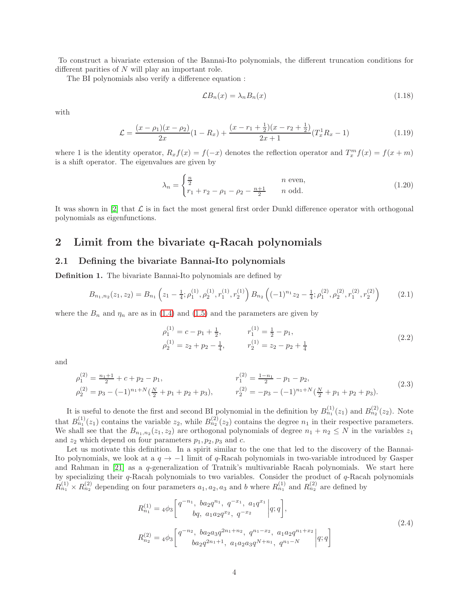To construct a bivariate extension of the Bannai-Ito polynomials, the different truncation conditions for different parities of N will play an important role.

The BI polynomials also verify a difference equation :

<span id="page-3-5"></span><span id="page-3-4"></span><span id="page-3-3"></span>
$$
\mathcal{L}B_n(x) = \lambda_n B_n(x) \tag{1.18}
$$

with

$$
\mathcal{L} = \frac{(x - \rho_1)(x - \rho_2)}{2x} (1 - R_x) + \frac{(x - r_1 + \frac{1}{2})(x - r_2 + \frac{1}{2})}{2x + 1} (T_x^1 R_x - 1)
$$
(1.19)

where 1 is the identity operator,  $R_x f(x) = f(-x)$  denotes the reflection operator and  $T_x^m f(x) = f(x + m)$ is a shift operator. The eigenvalues are given by

$$
\lambda_n = \begin{cases} \frac{n}{2} & n \text{ even,} \\ r_1 + r_2 - \rho_1 - \rho_2 - \frac{n+1}{2} & n \text{ odd.} \end{cases}
$$
 (1.20)

It was shown in  $[2]$  that  $\mathcal L$  is in fact the most general first order Dunkl difference operator with orthogonal polynomials as eigenfunctions.

## 2 Limit from the bivariate q-Racah polynomials

#### 2.1 Defining the bivariate Bannai-Ito polynomials

Definition 1. The bivariate Bannai-Ito polynomials are defined by

$$
B_{n_1,n_2}(z_1,z_2) = B_{n_1}\left(z_1 - \frac{1}{4};\rho_1^{(1)},\rho_2^{(1)},r_1^{(1)},r_2^{(1)}\right)B_{n_2}\left((-1)^{n_1}z_2 - \frac{1}{4};\rho_1^{(2)},\rho_2^{(2)},r_1^{(2)},r_2^{(2)}\right) \tag{2.1}
$$

where the  $B_n$  and  $\eta_n$  are as in [\(1.4\)](#page-1-0) and [\(1.5\)](#page-1-3) and the parameters are given by

<span id="page-3-2"></span><span id="page-3-1"></span><span id="page-3-0"></span>
$$
\rho_1^{(1)} = c - p_1 + \frac{1}{2}, \qquad r_1^{(1)} = \frac{1}{2} - p_1, \n\rho_2^{(1)} = z_2 + p_2 - \frac{1}{4}, \qquad r_2^{(1)} = z_2 - p_2 + \frac{1}{4}
$$
\n(2.2)

and

$$
\rho_1^{(2)} = \frac{n_1+1}{2} + c + p_2 - p_1, \n\rho_2^{(2)} = p_3 - (-1)^{n_1+N}(\frac{N}{2} + p_1 + p_2 + p_3), \n\rho_2^{(2)} = -p_3 - (-1)^{n_1+N}(\frac{N}{2} + p_1 + p_2 + p_3).
$$
\n(2.3)

It is useful to denote the first and second BI polynomial in the definition by  $B_{n_1}^{(1)}(z_1)$  and  $B_{n_2}^{(2)}(z_2)$ . Note that  $B_{n_1}^{(1)}(z_1)$  contains the variable  $z_2$ , while  $B_{n_2}^{(2)}(z_2)$  contains the degree  $n_1$  in their respective parameters. We shall see that the  $B_{n_1,n_2}(z_1, z_2)$  are orthogonal polynomials of degree  $n_1 + n_2 \leq N$  in the variables  $z_1$ and  $z_2$  which depend on four parameters  $p_1, p_2, p_3$  and c.

Let us motivate this definition. In a spirit similar to the one that led to the discovery of the Bannai-Ito polynomials, we look at a  $q \to -1$  limit of q-Racah polynomials in two-variable introduced by Gasper and Rahman in [\[21\]](#page-17-16) as a q-generalization of Tratnik's multivariable Racah polynomials. We start here by specializing their  $q$ -Racah polynomials to two variables. Consider the product of  $q$ -Racah polynomials  $R_{n_1}^{(1)} \times R_{n_2}^{(2)}$  depending on four parameters  $a_1, a_2, a_3$  and b where  $R_{n_1}^{(1)}$  and  $R_{n_2}^{(2)}$  are defined by

$$
R_{n_1}^{(1)} = 4\phi_3 \left[ \begin{array}{c} q^{-n_1}, \ b a_2 q^{n_1}, \ q^{-x_1}, \ a_1 q^{x_1} \ a; q \end{array} \right],
$$
  
\n
$$
R_{n_2}^{(2)} = 4\phi_3 \left[ \begin{array}{c} q^{-n_2}, \ b a_2 a_3 q^{2n_1 + n_2}, \ q^{n_1 - x_2}, \ a_1 a_2 q^{n_1 + x_2} \ a; q \end{array} \right],
$$
  
\n
$$
R_{n_2}^{(2)} = 4\phi_3 \left[ \begin{array}{c} q^{-n_2}, \ b a_2 a_3 q^{2n_1 + n_2}, \ q^{n_1 - x_2}, \ a_1 a_2 q^{n_1 + x_2} \ a; q \end{array} \right]
$$
\n
$$
(2.4)
$$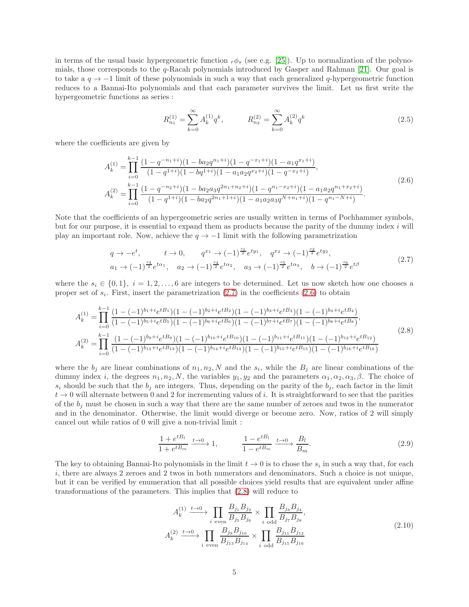in terms of the usual basic hypergeometric function  $r\phi_s$  (see e.g. [\[25\]](#page-18-0)). Up to normalization of the polynomials, those corresponds to the q-Racah polynomials introduced by Gasper and Rahman [\[21\]](#page-17-16). Our goal is to take a  $q \to -1$  limit of these polynomials in such a way that each generalized  $q$ -hypergeometric function reduces to a Bannai-Ito polynomials and that each parameter survives the limit. Let us first write the hypergeometric functions as series :

<span id="page-4-4"></span><span id="page-4-1"></span><span id="page-4-0"></span>
$$
R_{n_1}^{(1)} = \sum_{k=0}^{\infty} A_k^{(1)} q^k, \qquad R_{n_2}^{(2)} = \sum_{k=0}^{\infty} A_k^{(2)} q^k
$$
 (2.5)

where the coefficients are given by

$$
A_k^{(1)} = \prod_{i=0}^{k-1} \frac{(1-q^{-n_1+i})(1-ba_2q^{n_1+i})(1-q^{-x_1+i})(1-a_1q^{x_1+i})}{(1-q^{1+i})(1-bq^{1+i})(1-a_1a_2q^{x_2+i})(1-q^{-x_2+i})},
$$
  
\n
$$
A_k^{(2)} = \prod_{i=0}^{k-1} \frac{(1-q^{-n_2+i})(1-ba_2a_3q^{2n_1+n_2+i})(1-q^{n_1-x_2+i})(1-a_1a_2q^{n_1+x_2+i})}{(1-q^{1+i})(1-ba_2q^{2n_1+1+i})(1-a_1a_2a_3q^{N+n_1+i})(1-q^{n_1-N+i})}.
$$
\n(2.6)

Note that the coefficients of an hypergeometric series are usually written in terms of Pochhammer symbols, but for our purpose, it is essential to expand them as products because the parity of the dummy index i will play an important role. Now, achieve the  $q \rightarrow -1$  limit with the following parametrization

$$
q \to -e^t, \qquad t \to 0, \qquad q^{x_1} \to (-1)^{\frac{s_1}{2}} e^{ty_1}, \quad q^{x_2} \to (-1)^{\frac{s_2}{2}} e^{ty_2},
$$
  
\n
$$
a_1 \to (-1)^{\frac{s_3}{2}} e^{t\alpha_1}, \quad a_2 \to (-1)^{\frac{s_4}{2}} e^{t\alpha_2}, \quad a_3 \to (-1)^{\frac{s_5}{2}} e^{t\alpha_3}, \quad b \to (-1)^{\frac{s_6}{2}} e^{t\beta}
$$
\n
$$
(2.7)
$$

where the  $s_i \in \{0,1\}, i = 1,2,\ldots, 6$  are integers to be determined. Let us now sketch how one chooses a proper set of  $s_i$ . First, insert the parametrization  $(2.7)$  in the coefficients  $(2.6)$  to obtain

$$
A_{k}^{(1)} = \prod_{i=0}^{k-1} \frac{(1 - (-1)^{b_1 + i} e^{tB_1})(1 - (-1)^{b_2 + i} e^{tB_2})(1 - (-1)^{b_3 + i} e^{tB_3})(1 - (-1)^{b_4 + i} e^{tB_4})}{(1 - (-1)^{b_5 + i} e^{tB_5})(1 - (-1)^{b_6 + i} e^{tB_6})(1 - (-1)^{b_7 + i} e^{tB_7})(1 - (-1)^{b_8 + i} e^{tB_8})},
$$
  
\n
$$
A_{k}^{(2)} = \prod_{i=0}^{k-1} \frac{(1 - (-1)^{b_9 + i} e^{tB_9})(1 - (-1)^{b_{10} + i} e^{tB_{10}})(1 - (-1)^{b_{11} + i} e^{tB_{11}})(1 - (-1)^{b_{12} + i} e^{tB_{12}})}{(1 - (-1)^{b_{13} + i} e^{tB_{13}})(1 - (-1)^{b_{14} + i} e^{tB_{14}})(1 - (-1)^{b_{15} + i} e^{tB_{15}})(1 - (-1)^{b_{16} + i} e^{tB_{16}})}
$$
\n(2.8)

where the  $b_j$  are linear combinations of  $n_1, n_2, N$  and the  $s_i$ , while the  $B_j$  are linear combinations of the dummy index i, the degrees  $n_1, n_2, N$ , the variables  $y_1, y_2$  and the parameters  $\alpha_1, \alpha_2, \alpha_3, \beta$ . The choice of  $s_i$  should be such that the  $b_i$  are integers. Thus, depending on the parity of the  $b_i$ , each factor in the limit  $t \to 0$  will alternate between 0 and 2 for incrementing values of i. It is straightforward to see that the parities of the  $b_j$  must be chosen in such a way that there are the same number of zeroes and twos in the numerator and in the denominator. Otherwise, the limit would diverge or become zero. Now, ratios of 2 will simply cancel out while ratios of 0 will give a non-trivial limit :

<span id="page-4-2"></span>
$$
\frac{1 + e^{tB_l}}{1 + e^{tB_m}} \xrightarrow{t \to 0} 1, \qquad \frac{1 - e^{tB_l}}{1 - e^{tB_m}} \xrightarrow{t \to 0} \frac{B_l}{B_m}.
$$
\n(2.9)

The key to obtaining Bannai-Ito polynomials in the limit  $t \to 0$  is to chose the  $s_i$  in such a way that, for each i, there are always 2 zeroes and 2 twos in both numerators and denominators. Such a choice is not unique, but it can be verified by enumeration that all possible choices yield results that are equivalent under affine transformations of the parameters. This implies that [\(2.8\)](#page-4-2) will reduce to

<span id="page-4-3"></span>
$$
A_k^{(1)} \xrightarrow{t \to 0} \prod_{i \text{ even}} \frac{B_{j_1} B_{j_2}}{B_{j_5} B_{j_6}} \times \prod_{i \text{ odd}} \frac{B_{j_3} B_{j_4}}{B_{j_7} B_{j_8}},
$$
  

$$
A_k^{(2)} \xrightarrow{t \to 0} \prod_{i \text{ even}} \frac{B_{j_9} B_{j_{10}}}{B_{j_{13}} B_{j_{14}}} \times \prod_{i \text{ odd}} \frac{B_{j_{11}} B_{j_{12}}}{B_{j_{15}} B_{j_{16}}}
$$
(2.10)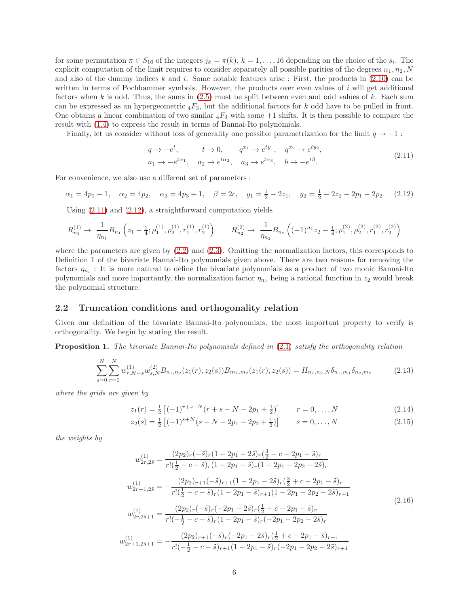for some permutation  $\pi \in S_{16}$  of the integers  $j_k = \pi(k)$ ,  $k = 1, \ldots, 16$  depending on the choice of the  $s_i$ . The explicit computation of the limit requires to consider separately all possible parities of the degrees  $n_1, n_2, N$ and also of the dummy indices k and i. Some notable features arise : First, the products in  $(2.10)$  can be written in terms of Pochhammer symbols. However, the products over even values of i will get additional factors when  $k$  is odd. Thus, the sums in  $(2.5)$  must be split between even and odd values of  $k$ . Each sum can be expressed as an hypergeometric  $_4F_3$ , but the additional factors for k odd have to be pulled in front. One obtains a linear combination of two similar  ${}_4F_3$  with some  $+1$  shifts. It is then possible to compare the result with [\(1.4\)](#page-1-0) to express the result in terms of Bannai-Ito polynomials.

Finally, let us consider without loss of generality one possible parametrization for the limit  $q \to -1$ :

<span id="page-5-1"></span><span id="page-5-0"></span>
$$
q \to -e^t
$$
,  $t \to 0$ ,  $q^{x_1} \to e^{ty_1}$ ,  $q^{x_2} \to e^{ty_2}$ ,  
\n $a_1 \to -e^{t\alpha_1}$ ,  $a_2 \to e^{t\alpha_2}$ ,  $a_3 \to e^{t\alpha_3}$ ,  $b \to -e^{t\beta}$ . (2.11)

For convenience, we also use a different set of parameters :

$$
\alpha_1 = 4p_1 - 1, \quad \alpha_2 = 4p_2, \quad \alpha_3 = 4p_3 + 1, \quad \beta = 2c, \quad y_1 = \frac{1}{2} - 2z_1, \quad y_2 = \frac{1}{2} - 2z_2 - 2p_1 - 2p_2. \tag{2.12}
$$

Using [\(2.11\)](#page-5-0) and [\(2.12\)](#page-5-1), a straightforward computation yields

$$
R_{n_1}^{(1)} \to \frac{1}{\eta_{n_1}} B_{n_1} \left( z_1 - \frac{1}{4}; \rho_1^{(1)}, \rho_2^{(1)}, r_1^{(1)}, r_2^{(1)} \right) \qquad R_{n_2}^{(2)} \to \frac{1}{\eta_{n_2}} B_{n_2} \left( (-1)^{n_1} z_2 - \frac{1}{4}; \rho_1^{(2)}, \rho_2^{(2)}, r_1^{(2)}, r_2^{(2)} \right)
$$

where the parameters are given by  $(2.2)$  and  $(2.3)$ . Omitting the normalization factors, this corresponds to Definition 1 of the bivariate Bannai-Ito polynomials given above. There are two reasons for removing the factors  $\eta_{n_i}$ : It is more natural to define the bivariate polynomials as a product of two monic Bannai-Ito polynomials and more importantly, the normalization factor  $\eta_{n_1}$  being a rational function in  $z_2$  would break the polynomial structure.

#### 2.2 Truncation conditions and orthogonality relation

Given our definition of the bivariate Bannai-Ito polynomials, the most important property to verify is orthogonality. We begin by stating the result.

Proposition 1. The bivariate Bannai-Ito polynomials defined in [\(2.1\)](#page-3-0) satisfy the orthogonality relation

$$
\sum_{s=0}^{N} \sum_{r=0}^{N} w_{r,N-s}^{(1)} w_{s,N}^{(2)} B_{n_1,n_2}(z_1(r), z_2(s)) B_{m_1,m_2}(z_1(r), z_2(s)) = H_{n_1,n_2,N} \delta_{n_1,m_1} \delta_{n_2,m_2}
$$
(2.13)

where the grids are given by

<span id="page-5-5"></span><span id="page-5-3"></span>
$$
z_1(r) = \frac{1}{2} \left[ (-1)^{r+s+N} (r+s-N-2p_1 + \frac{1}{2}) \right] \qquad r = 0, \dots, N \tag{2.14}
$$

<span id="page-5-4"></span><span id="page-5-2"></span>
$$
z_2(s) = \frac{1}{2} \left[ (-1)^{s+N} (s - N - 2p_1 - 2p_2 + \frac{1}{2}) \right] \qquad s = 0, \dots, N \tag{2.15}
$$

the weights by

$$
w_{2r,2\tilde{s}}^{(1)} = \frac{(2p_2)_r(-\tilde{s})_r(1-2p_1-2\tilde{s})_r(\frac{3}{2}+c-2p_1-\tilde{s})_r}{r!(\frac{1}{2}-c-\tilde{s})_r(1-2p_1-\tilde{s})_r(1-2p_1-2p_2-2\tilde{s})_r}
$$
  
\n
$$
w_{2r+1,2\tilde{s}}^{(1)} = -\frac{(2p_2)_{r+1}(-\tilde{s})_{r+1}(1-2p_1-2\tilde{s})_r(\frac{3}{2}+c-2p_1-\tilde{s})_r}{r!(\frac{1}{2}-c-\tilde{s})_r(1-2p_1-\tilde{s})_{r+1}(1-2p_1-2p_2-2\tilde{s})_{r+1}}
$$
  
\n
$$
w_{2r,2\tilde{s}+1}^{(1)} = \frac{(2p_2)_r(-\tilde{s})_r(-2p_1-2\tilde{s})_r(\frac{1}{2}+c-2p_1-\tilde{s})_r}{r!(-\frac{1}{2}-c-\tilde{s})_r(1-2p_1-\tilde{s})_r(-2p_1-2p_2-2\tilde{s})_r}
$$
  
\n
$$
w_{2r+1,2\tilde{s}+1}^{(1)} = -\frac{(2p_2)_{r+1}(-\tilde{s})_r(-2p_1-2\tilde{s})_r(\frac{1}{2}+c-2p_1-\tilde{s})_{r+1}}{r!(-\frac{1}{2}-c-\tilde{s})_{r+1}(1-2p_1-\tilde{s})_r(-2p_1-2p_2-2\tilde{s})_{r+1}}
$$
  
\n(2.16)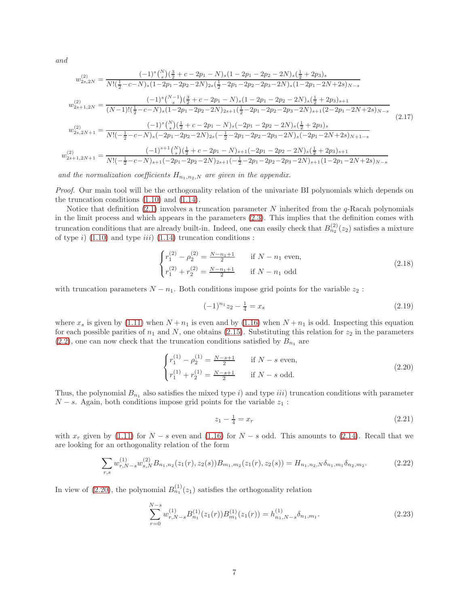and

$$
w_{2s,2N}^{(2)} = \frac{(-1)^{s} \binom{N}{s} \left(\frac{3}{2} + c - 2p_{1} - N\right) s \left(1 - 2p_{1} - 2p_{2} - 2N\right) s \left(\frac{1}{2} + 2p_{3}\right) s}{N! \left(\frac{1}{2} - c - N\right) s \left(1 - 2p_{1} - 2p_{2} - 2N\right) s \left(\frac{1}{2} - 2p_{1} - 2p_{2} - 2p_{3} - 2N\right) s \left(1 - 2p_{1} - 2N + 2s\right) N - s}
$$
\n
$$
w_{2s+1,2N}^{(2)} = \frac{(-1)^{s} \binom{N-1}{s} \left(\frac{3}{2} + c - 2p_{1} - N\right) s \left(1 - 2p_{1} - 2p_{2} - 2N\right) s \left(\frac{1}{2} + 2p_{3}\right) s + 1}{(N-1)! \left(\frac{1}{2} - c - N\right) s \left(1 - 2p_{1} - 2p_{2} - 2N\right) 2s + 1 \left(\frac{1}{2} - 2p_{1} - 2p_{2} - 2N\right) s + 1 \left(2 - 2p_{1} - 2N + 2s\right) N - s}
$$
\n
$$
w_{2s,2N+1}^{(2)} = \frac{(-1)^{s} \binom{N}{s} \left(\frac{1}{2} + c - 2p_{1} - N\right) s \left(-2p_{1} - 2p_{2} - 2N\right) s \left(\frac{1}{2} + 2p_{3}\right) s}{N! \left(-\frac{1}{2} - c - N\right) s \left(-2p_{1} - 2p_{2} - 2N\right) 2s \left(-\frac{1}{2} - 2p_{1} - 2p_{2} - 2N\right) s \left(-2p_{1} - 2N + 2s\right) N + 1 - s}
$$
\n
$$
w_{2s+1,2N+1}^{(2)} = \frac{(-1)^{s+1} \binom{N}{s} \left(\frac{1}{2} + c - 2p_{1} - N\right) s + 1 \left(-2p_{1} - 2p_{2} - 2N\right) s \left(\frac{1}{2} + 2p_{3
$$

and the normalization coefficients  $H_{n_1,n_2,N}$  are given in the appendix.

Proof. Our main tool will be the orthogonality relation of the univariate BI polynomials which depends on the truncation conditions [\(1.10\)](#page-2-0) and [\(1.14\)](#page-2-5).

Notice that definition [\(2.1\)](#page-3-0) involves a truncation parameter N inherited from the  $q$ -Racah polynomials in the limit process and which appears in the parameters [\(2.3\)](#page-3-2). This implies that the definition comes with truncation conditions that are already built-in. Indeed, one can easily check that  $B_{n_2}^{(2)}(z_2)$  satisfies a mixture of type i)  $(1.10)$  and type iii)  $(1.14)$  truncation conditions :

$$
\begin{cases}\nr_1^{(2)} - \rho_2^{(2)} = \frac{N - n_1 + 1}{2} & \text{if } N - n_1 \text{ even,} \\
r_1^{(2)} + r_2^{(2)} = \frac{N - n_1 + 1}{2} & \text{if } N - n_1 \text{ odd}\n\end{cases}
$$
\n(2.18)

with truncation parameters  $N - n_1$ . Both conditions impose grid points for the variable  $z_2$ :

<span id="page-6-4"></span><span id="page-6-3"></span>
$$
(-1)^{n_1}z_2 - \frac{1}{4} = x_s \tag{2.19}
$$

where  $x_s$  is given by [\(1.11\)](#page-2-3) when  $N + n_1$  is even and by [\(1.16\)](#page-2-6) when  $N + n_1$  is odd. Inspecting this equation for each possible parities of  $n_1$  and N, one obtains [\(2.15\)](#page-5-2). Substituting this relation for  $z_2$  in the parameters  $(2.2)$ , one can now check that the truncation conditions satisfied by  $B_{n_1}$  are

$$
\begin{cases}\nr_1^{(1)} - \rho_2^{(1)} = \frac{N - s + 1}{2} & \text{if } N - s \text{ even,} \\
r_1^{(1)} + r_2^{(1)} = \frac{N - s + 1}{2} & \text{if } N - s \text{ odd.} \n\end{cases}
$$
\n(2.20)

Thus, the polynomial  $B_{n_1}$  also satisfies the mixed type i) and type iii) truncation conditions with parameter  $N - s$ . Again, both conditions impose grid points for the variable  $z_1$ :

<span id="page-6-2"></span><span id="page-6-1"></span><span id="page-6-0"></span>
$$
z_1 - \frac{1}{4} = x_r \tag{2.21}
$$

with  $x_r$  given by [\(1.11\)](#page-2-3) for  $N - s$  even and [\(1.16\)](#page-2-6) for  $N - s$  odd. This amounts to [\(2.14\)](#page-5-3). Recall that we are looking for an orthogonality relation of the form

$$
\sum_{r,s} w_{r,N-s}^{(1)} w_{s,N}^{(2)} B_{n_1,n_2}(z_1(r), z_2(s)) B_{m_1,m_2}(z_1(r), z_2(s)) = H_{n_1,n_2,N} \delta_{n_1,m_1} \delta_{n_2,m_2}.
$$
 (2.22)

In view of [\(2.20\)](#page-6-0), the polynomial  $B_{n_1}^{(1)}(z_1)$  satisfies the orthogonality relation

$$
\sum_{r=0}^{N-s} w_{r,N-s}^{(1)} B_{n_1}^{(1)}(z_1(r)) B_{m_1}^{(1)}(z_1(r)) = h_{n_1,N-s}^{(1)} \delta_{n_1,m_1}.
$$
\n(2.23)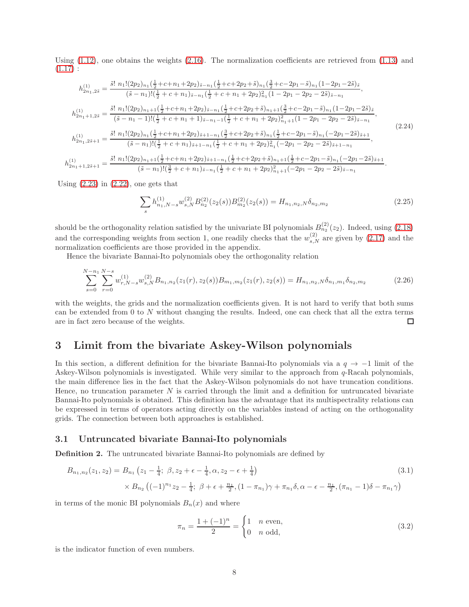Using  $(1.12)$ , one obtains the weights  $(2.16)$ . The normalization coefficients are retrieved from  $(1.13)$  and  $(1.17):$  $(1.17):$ 

$$
h_{2n_1,2\tilde{s}}^{(1)} = \frac{\tilde{s}! \ n_1!(2p_2)_{n_1}(\frac{1}{2}+c+n_1+2p_2)\tilde{s}-n_1(\frac{1}{2}+c+2p_2+\tilde{s})_{n_1}(\frac{3}{2}+c-2p_1-\tilde{s})_{n_1}(1-2p_1-2\tilde{s})\tilde{s}}{(\tilde{s}-n_1)!(\frac{1}{2}+c+n_1)\tilde{s}-n_1(\frac{1}{2}+c+n_1+2p_2)\tilde{s}-n_1(\frac{1}{2}+c-2p_1-2p_2-2\tilde{s})\tilde{s}-n_1},
$$
\n
$$
h_{2n_1+1,2\tilde{s}}^{(1)} = \frac{\tilde{s}! \ n_1!(2p_2)_{n_1+1}(\frac{1}{2}+c+n_1+2p_2)\tilde{s}-n_1(\frac{1}{2}+c+2p_2+\tilde{s})_{n_1+1}(\frac{3}{2}+c-2p_1-\tilde{s})_{n_1}(1-2p_1-2\tilde{s})\tilde{s}}{(\tilde{s}-n_1-1)!(\frac{1}{2}+c+n_1+1)\tilde{s}-n_1-1(\frac{1}{2}+c+n_1+2p_2)\tilde{s}+n_1+1(\frac{3}{2}+c-2p_1-2p_2-2\tilde{s})\tilde{s}-n_1},
$$
\n
$$
h_{2n_1,2\tilde{s}+1}^{(1)} = \frac{\tilde{s}! \ n_1!(2p_2)_{n_1}(\frac{1}{2}+c+n_1+2p_2)\tilde{s}+1-n_1(\frac{3}{2}+c+2p_2+\tilde{s})_{n_1}(\frac{1}{2}+c-2p_1-\tilde{s})_{n_1}(-2p_1-2\tilde{s})\tilde{s}+n_1}{(\tilde{s}-n_1)!(\frac{1}{2}+c+n_1)\tilde{s}+1-n_1(\frac{1}{2}+c+n_1+2p_2)\tilde{s}_n^2(-2p_1-2p_2-2\tilde{s})\tilde{s}+n_{-n_1},
$$
\n
$$
h_{2n_1+1,2\tilde{s}+1}^{(1)} = \frac{\tilde{s}! \ n_1!(2p_2
$$

Using  $(2.23)$  in  $(2.22)$ , one gets that

$$
\sum_{s} h_{n_1,N-s}^{(1)} w_{s,N}^{(2)} B_{n_2}^{(2)}(z_2(s)) B_{m_2}^{(2)}(z_2(s)) = H_{n_1,n_2,N} \delta_{n_2,m_2}
$$
\n(2.25)

should be the orthogonality relation satisfied by the univariate BI polynomials  $B_{n_2}^{(2)}(z_2)$ . Indeed, using  $(2.18)$ and the corresponding weights from section 1, one readily checks that the  $w_{s,N}^{(2)}$  are given by [\(2.17\)](#page-6-4) and the normalization coefficients are those provided in the appendix.

Hence the bivariate Bannai-Ito polynomials obey the orthogonality relation

$$
\sum_{s=0}^{N-n_1} \sum_{r=0}^{N-s} w_{r,N-s}^{(1)} w_{s,N}^{(2)} B_{n_1,n_2}(z_1(r), z_2(s)) B_{m_1,m_2}(z_1(r), z_2(s)) = H_{n_1,n_2,N} \delta_{n_1,m_1} \delta_{n_2,m_2}
$$
(2.26)

with the weights, the grids and the normalization coefficients given. It is not hard to verify that both sums can be extended from 0 to N without changing the results. Indeed, one can check that all the extra terms are in fact zero because of the weights.  $\Box$ 

# 3 Limit from the bivariate Askey-Wilson polynomials

In this section, a different definition for the bivariate Bannai-Ito polynomials via a  $q \to -1$  limit of the Askey-Wilson polynomials is investigated. While very similar to the approach from  $q$ -Racah polynomials, the main difference lies in the fact that the Askey-Wilson polynomials do not have truncation conditions. Hence, no truncation parameter  $N$  is carried through the limit and a definition for untruncated bivariate Bannai-Ito polynomials is obtained. This definition has the advantage that its multispectrality relations can be expressed in terms of operators acting directly on the variables instead of acting on the orthogonality grids. The connection between both approaches is established.

#### 3.1 Untruncated bivariate Bannai-Ito polynomials

Definition 2. The untruncated bivariate Bannai-Ito polynomials are defined by

$$
B_{n_1,n_2}(z_1, z_2) = B_{n_1} (z_1 - \frac{1}{4}; \ \beta, z_2 + \epsilon - \frac{1}{4}, \alpha, z_2 - \epsilon + \frac{1}{4})
$$
\n
$$
\times B_{n_2} \left( (-1)^{n_1} z_2 - \frac{1}{4}; \ \beta + \epsilon + \frac{n_1}{2}, (1 - \pi_{n_1}) \gamma + \pi_{n_1} \delta, \alpha - \epsilon - \frac{n_1}{2}, (\pi_{n_1} - 1) \delta - \pi_{n_1} \gamma \right)
$$
\n(3.1)

in terms of the monic BI polynomials  $B_n(x)$  and where

<span id="page-7-0"></span>
$$
\pi_n = \frac{1 + (-1)^n}{2} = \begin{cases} 1 & n \text{ even,} \\ 0 & n \text{ odd,} \end{cases}
$$
 (3.2)

is the indicator function of even numbers.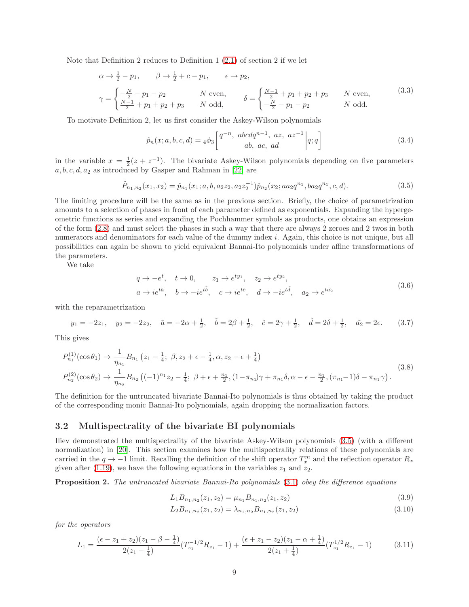Note that Definition 2 reduces to Definition 1 [\(2.1\)](#page-3-0) of section 2 if we let

$$
\alpha \to \frac{1}{2} - p_1, \qquad \beta \to \frac{1}{2} + c - p_1, \qquad \epsilon \to p_2,
$$
  

$$
\gamma = \begin{cases} -\frac{N}{2} - p_1 - p_2 & N \text{ even,} \\ \frac{N-1}{2} + p_1 + p_2 + p_3 & N \text{ odd,} \end{cases} \qquad \delta = \begin{cases} \frac{N-1}{2} + p_1 + p_2 + p_3 & N \text{ even,} \\ -\frac{N}{2} - p_1 - p_2 & N \text{ odd.} \end{cases}
$$
(3.3)

To motivate Definition 2, let us first consider the Askey-Wilson polynomials

<span id="page-8-5"></span><span id="page-8-0"></span>
$$
\hat{p}_n(x;a,b,c,d) = 4\phi_3 \left[ \begin{array}{cc} q^{-n}, & abcdq^{n-1}, & az, & az^{-1} \\ & ab, & ac, & ad \end{array} \right] q; q \right] \tag{3.4}
$$

in the variable  $x = \frac{1}{2}(z + z^{-1})$ . The bivariate Askey-Wilson polynomials depending on five parameters  $a, b, c, d, a_2$  as introduced by Gasper and Rahman in [\[22\]](#page-17-17) are

$$
\hat{P}_{n_1,n_2}(x_1,x_2) = \hat{p}_{n_1}(x_1;a,b,a_2z_2,a_2z_2^{-1})\hat{p}_{n_2}(x_2;aa_2q^{n_1},ba_2q^{n_1},c,d).
$$
\n(3.5)

The limiting procedure will be the same as in the previous section. Briefly, the choice of parametrization amounts to a selection of phases in front of each parameter defined as exponentials. Expanding the hypergeometric functions as series and expanding the Pochhammer symbols as products, one obtains an expression of the form [\(2.8\)](#page-4-2) and must select the phases in such a way that there are always 2 zeroes and 2 twos in both numerators and denominators for each value of the dummy index  $i$ . Again, this choice is not unique, but all possibilities can again be shown to yield equivalent Bannai-Ito polynomials under affine transformations of the parameters.

We take

<span id="page-8-2"></span><span id="page-8-1"></span>
$$
q \to -e^t, \quad t \to 0, \qquad z_1 \to e^{ty_1}, \quad z_2 \to e^{ty_2},
$$
  
\n
$$
a \to ie^{t\tilde{a}}, \quad b \to -ie^{t\tilde{b}}, \quad c \to ie^{t\tilde{c}}, \quad d \to -ie^{t\tilde{d}}, \quad a_2 \to e^{t\tilde{a_2}}
$$
\n
$$
(3.6)
$$

with the reparametrization

$$
y_1 = -2z_1
$$
,  $y_2 = -2z_2$ ,  $\tilde{a} = -2\alpha + \frac{1}{2}$ ,  $\tilde{b} = 2\beta + \frac{1}{2}$ ,  $\tilde{c} = 2\gamma + \frac{1}{2}$ ,  $\tilde{d} = 2\delta + \frac{1}{2}$ ,  $\tilde{a_2} = 2\epsilon$ . (3.7)

This gives

$$
P_{n_1}^{(1)}(\cos \theta_1) \to \frac{1}{\eta_{n_1}} B_{n_1} (z_1 - \frac{1}{4}; \ \beta, z_2 + \epsilon - \frac{1}{4}, \alpha, z_2 - \epsilon + \frac{1}{4})
$$
  
\n
$$
P_{n_2}^{(2)}(\cos \theta_2) \to \frac{1}{\eta_{n_2}} B_{n_2} ((-1)^{n_1} z_2 - \frac{1}{4}; \ \beta + \epsilon + \frac{n_1}{2}, (1 - \pi_{n_1}) \gamma + \pi_{n_1} \delta, \alpha - \epsilon - \frac{n_1}{2}, (\pi_{n_1} - 1) \delta - \pi_{n_1} \gamma).
$$
\n(3.8)

The definition for the untruncated bivariate Bannai-Ito polynomials is thus obtained by taking the product of the corresponding monic Bannai-Ito polynomials, again dropping the normalization factors.

### 3.2 Multispectrality of the bivariate BI polynomials

Iliev demonstrated the multispectrality of the bivariate Askey-Wilson polynomials [\(3.5\)](#page-8-0) (with a different normalization) in [\[20\]](#page-17-15). This section examines how the multispectrality relations of these polynomials are carried in the  $q \to -1$  limit. Recalling the definition of the shift operator  $T_x^m$  and the reflection operator  $R_x$ given after [\(1.19\)](#page-3-3), we have the following equations in the variables  $z_1$  and  $z_2$ .

Proposition 2. The untruncated bivariate Bannai-Ito polynomials [\(3.1\)](#page-7-0) obey the difference equations

<span id="page-8-4"></span>
$$
L_1 B_{n_1, n_2}(z_1, z_2) = \mu_{n_1} B_{n_1, n_2}(z_1, z_2)
$$
\n(3.9)

<span id="page-8-3"></span>
$$
L_2 B_{n_1, n_2}(z_1, z_2) = \lambda_{n_1, n_2} B_{n_1, n_2}(z_1, z_2)
$$
\n(3.10)

for the operators

$$
L_1 = \frac{(\epsilon - z_1 + z_2)(z_1 - \beta - \frac{1}{4})}{2(z_1 - \frac{1}{4})} (T_{z_1}^{-1/2} R_{z_1} - 1) + \frac{(\epsilon + z_1 - z_2)(z_1 - \alpha + \frac{1}{4})}{2(z_1 + \frac{1}{4})} (T_{z_1}^{1/2} R_{z_1} - 1)
$$
(3.11)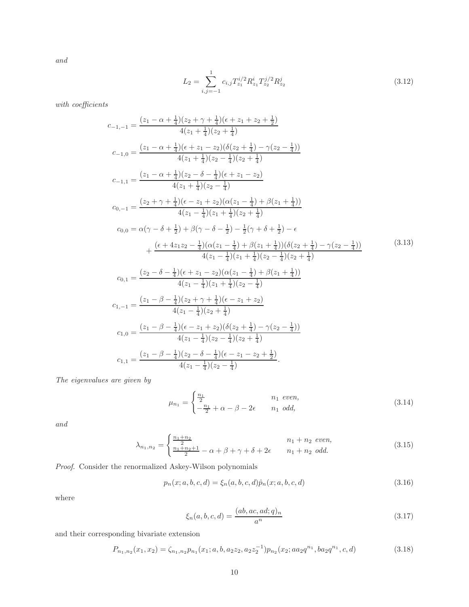and

<span id="page-9-0"></span>
$$
L_2 = \sum_{i,j=-1}^{1} c_{i,j} T_{z_1}^{i/2} R_{z_1}^i T_{z_2}^{j/2} R_{z_2}^j
$$
 (3.12)

with coefficients

$$
c_{-1,-1} = \frac{(z_1 - \alpha + \frac{1}{4})(z_2 + \gamma + \frac{1}{4})(\epsilon + z_1 + z_2 + \frac{1}{2})}{4(z_1 + \frac{1}{4})(z_2 + \frac{1}{4})}
$$
  
\n
$$
c_{-1,0} = \frac{(z_1 - \alpha + \frac{1}{4})(\epsilon + z_1 - z_2)(\delta(z_2 + \frac{1}{4}) - \gamma(z_2 - \frac{1}{4}))}{4(z_1 + \frac{1}{4})(z_2 - \frac{1}{4})(z_2 + \frac{1}{4})}
$$
  
\n
$$
c_{-1,1} = \frac{(z_1 - \alpha + \frac{1}{4})(z_2 - \delta - \frac{1}{4})(\epsilon + z_1 - z_2)}{4(z_1 + \frac{1}{4})(z_2 - \frac{1}{4})}
$$
  
\n
$$
c_{0,-1} = \frac{(z_2 + \gamma + \frac{1}{4})(\epsilon - z_1 + z_2)(\alpha(z_1 - \frac{1}{4}) + \beta(z_1 + \frac{1}{4}))}{4(z_1 - \frac{1}{4})(z_1 + \frac{1}{4})(z_2 + \frac{1}{4})}
$$
  
\n
$$
c_{0,0} = \alpha(\gamma - \delta + \frac{1}{2}) + \beta(\gamma - \delta - \frac{1}{2}) - \frac{1}{2}(\gamma + \delta + \frac{1}{2}) - \epsilon + \frac{(\epsilon + 4z_1z_2 - \frac{1}{4})(\alpha(z_1 - \frac{1}{4}) + \beta(z_1 + \frac{1}{4}))(\delta(z_2 + \frac{1}{4}) - \gamma(z_2 - \frac{1}{4}))}{4(z_1 - \frac{1}{4})(z_1 + \frac{1}{4})(z_2 - \frac{1}{4})(z_2 + \frac{1}{4})}
$$
  
\n
$$
c_{0,1} = \frac{(z_2 - \delta - \frac{1}{4})(\epsilon + z_1 - z_2)(\alpha(z_1 - \frac{1}{4}) + \beta(z_1 + \frac{1}{4}))}{4(z_1 - \frac{1}{4})(z_1 + \frac{1}{4})(z_2 - \frac{1}{4})}
$$
  
\n
$$
c_{1,-1} = \frac{(z_1 - \beta - \frac{1}{4})(z_2 + \gamma + \frac{1}{4})(\epsilon - z_1 + z_2)}{4(z_1 -
$$

The eigenvalues are given by

$$
\mu_{n_1} = \begin{cases} \frac{n_1}{2} & n_1 \text{ even,} \\ -\frac{n_1}{2} + \alpha - \beta - 2\epsilon & n_1 \text{ odd,} \end{cases}
$$
 (3.14)

and

$$
\lambda_{n_1,n_2} = \begin{cases} \frac{n_1 + n_2}{2} & n_1 + n_2 \text{ even,} \\ \frac{n_1 + n_2 + 1}{2} - \alpha + \beta + \gamma + \delta + 2\epsilon & n_1 + n_2 \text{ odd.} \end{cases}
$$
(3.15)

Proof. Consider the renormalized Askey-Wilson polynomials

$$
p_n(x;a,b,c,d) = \xi_n(a,b,c,d)\hat{p}_n(x;a,b,c,d)
$$
\n(3.16)

where

<span id="page-9-1"></span>
$$
\xi_n(a,b,c,d) = \frac{(ab,ac,ad;q)_n}{a^n} \tag{3.17}
$$

and their corresponding bivariate extension

$$
P_{n_1,n_2}(x_1,x_2) = \zeta_{n_1,n_2} p_{n_1}(x_1;a,b,a_2z_2,a_2z_2^{-1}) p_{n_2}(x_2;aa_2q^{n_1},ba_2q^{n_1},c,d)
$$
\n(3.18)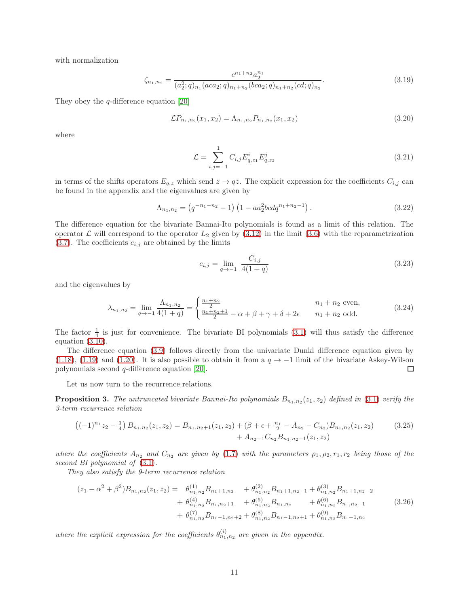with normalization

$$
\zeta_{n_1,n_2} = \frac{c^{n_1+n_2} a_2^{n_1}}{(a_2^2;q)_{n_1} (aca_2;q)_{n_1+n_2} (bca_2;q)_{n_1+n_2} (cd;q)_{n_2}}.
$$
\n(3.19)

They obey the  $q$ -difference equation [\[20\]](#page-17-15)

$$
\mathcal{L}P_{n_1,n_2}(x_1,x_2) = \Lambda_{n_1,n_2}P_{n_1,n_2}(x_1,x_2) \tag{3.20}
$$

where

<span id="page-10-0"></span>
$$
\mathcal{L} = \sum_{i,j=-1}^{1} C_{i,j} E_{q,z_1}^{i} E_{q,z_2}^{j}
$$
\n(3.21)

in terms of the shifts operators  $E_{q,z}$  which send  $z \to qz$ . The explicit expression for the coefficients  $C_{i,j}$  can be found in the appendix and the eigenvalues are given by

$$
\Lambda_{n_1,n_2} = \left(q^{-n_1-n_2} - 1\right) \left(1 - aa_2^2 bc dq^{n_1+n_2-1}\right). \tag{3.22}
$$

The difference equation for the bivariate Bannai-Ito polynomials is found as a limit of this relation. The operator  $\mathcal L$  will correspond to the operator  $L_2$  given by [\(3.12\)](#page-9-0) in the limit [\(3.6\)](#page-8-1) with the reparametrization  $(3.7)$ . The coefficients  $c_{i,j}$  are obtained by the limits

<span id="page-10-1"></span>
$$
c_{i,j} = \lim_{q \to -1} \frac{C_{i,j}}{4(1+q)}
$$
(3.23)

and the eigenvalues by

$$
\lambda_{n_1,n_2} = \lim_{q \to -1} \frac{\Lambda_{n_1,n_2}}{4(1+q)} = \begin{cases} \frac{n_1+n_2}{2} & n_1 + n_2 \text{ even,} \\ \frac{n_1+n_2+1}{2} - \alpha + \beta + \gamma + \delta + 2\epsilon & n_1 + n_2 \text{ odd.} \end{cases} \tag{3.24}
$$

The factor  $\frac{1}{4}$  is just for convenience. The bivariate BI polynomials [\(3.1\)](#page-7-0) will thus satisfy the difference equation [\(3.10\)](#page-8-3).

The difference equation [\(3.9\)](#page-8-4) follows directly from the univariate Dunkl difference equation given by [\(1.18\)](#page-3-4), [\(1.19\)](#page-3-3) and [\(1.20\)](#page-3-5). It is also possible to obtain it from a  $q \to -1$  limit of the bivariate Askey-Wilson polynomials second q-difference equation [\[20\]](#page-17-15).  $\Box$ 

Let us now turn to the recurrence relations.

**Proposition 3.** The untruncated bivariate Bannai-Ito polynomials  $B_{n_1,n_2}(z_1, z_2)$  defined in [\(3.1\)](#page-7-0) verify the 3-term recurrence relation

$$
\left((-1)^{n_1}z_2 - \frac{1}{4}\right)B_{n_1,n_2}(z_1,z_2) = B_{n_1,n_2+1}(z_1,z_2) + \left(\beta + \epsilon + \frac{n_1}{2} - A_{n_2} - C_{n_2}\right)B_{n_1,n_2}(z_1,z_2) \tag{3.25}
$$

$$
+ A_{n_2-1}C_{n_2}B_{n_1,n_2-1}(z_1,z_2)
$$

where the coefficients  $A_{n_2}$  and  $C_{n_2}$  are given by [\(1.7\)](#page-1-1) with the parameters  $\rho_1, \rho_2, r_1, r_2$  being those of the second BI polynomial of  $(3.1)$ .

They also satisfy the 9-term recurrence relation

$$
(z_1 - \alpha^2 + \beta^2)B_{n_1, n_2}(z_1, z_2) = \theta_{n_1, n_2}^{(1)}B_{n_1+1, n_2} + \theta_{n_1, n_2}^{(2)}B_{n_1+1, n_2-1} + \theta_{n_1, n_2}^{(3)}B_{n_1+1, n_2-2} + \theta_{n_1, n_2}^{(4)}B_{n_1, n_2+1} + \theta_{n_1, n_2}^{(5)}B_{n_1, n_2} + \theta_{n_1, n_2}^{(6)}B_{n_1, n_2-1} + \theta_{n_1, n_2}^{(7)}B_{n_1-1, n_2+2} + \theta_{n_1, n_2}^{(8)}B_{n_1-1, n_2+1} + \theta_{n_1, n_2}^{(9)}B_{n_1-1, n_2}
$$
\n(3.26)

where the explicit expression for the coefficients  $\theta_{n_1,n_2}^{(i)}$  are given in the appendix.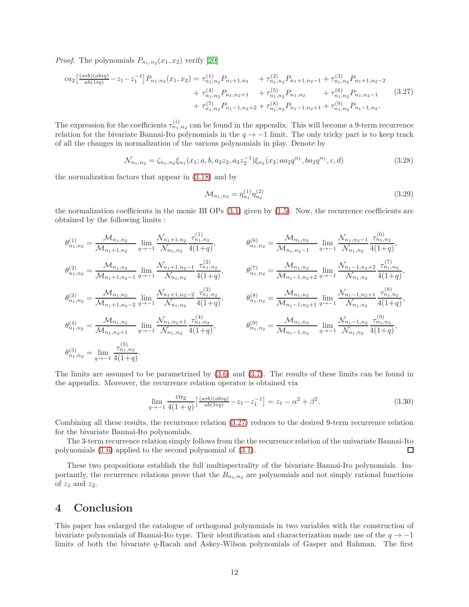*Proof.* The polynomials  $P_{n_1,n_2}(x_1, x_2)$  verify [\[20\]](#page-17-15)

$$
ca_{2}\left[\frac{(a+b)(ab+q)}{ab(1+q)}-z_{1}-z_{1}^{-1}\right]P_{n_{1},n_{2}}(x_{1},x_{2}) = \tau_{n_{1},n_{2}}^{(1)}P_{n_{1}+1,n_{2}} + \tau_{n_{1},n_{2}}^{(2)}P_{n_{1}+1,n_{2}-1} + \tau_{n_{1},n_{2}}^{(3)}P_{n_{1}+1,n_{2}-2} + \tau_{n_{1},n_{2}}^{(4)}P_{n_{1},n_{2}+1} + \tau_{n_{1},n_{2}}^{(5)}P_{n_{1},n_{2}} + \tau_{n_{1},n_{2}}^{(6)}P_{n_{1},n_{2}-1} \qquad (3.27) + \tau_{n_{1},n_{2}}^{(7)}P_{n_{1}-1,n_{2}+2} + \tau_{n_{1},n_{2}}^{(8)}P_{n_{1}-1,n_{2}+1} + \tau_{n_{1},n_{2}}^{(9)}P_{n_{1}-1,n_{2}}.
$$

The expression for the coefficients  $\tau_{n_1,n_2}^{(i)}$  can be found in the appendix. This will become a 9-term recurrence relation for the bivariate Bannai-Ito polynomials in the  $q \to -1$  limit. The only tricky part is to keep track of all the changes in normalization of the various polynomials in play. Denote by

$$
\mathcal{N}_{n_1,n_2} = \zeta_{n_1,n_2}\zeta_{n_1}(x_1;a,b,a_2z_2,a_2z_2^{-1})\zeta_{n_2}(x_2;aa_2q^{n_1},ba_2q^{n_1},c,d)
$$
\n(3.28)

the normalization factors that appear in [\(3.18\)](#page-9-1) and by

<span id="page-11-0"></span>
$$
\mathcal{M}_{n_1, n_2} = \eta_{n_1}^{(1)} \eta_{n_2}^{(2)} \tag{3.29}
$$

the normalization coefficients in the monic BI OPs [\(3.1\)](#page-7-0) given by [\(1.5\)](#page-1-3). Now, the recurrence coefficients are obtained by the following limits :

$$
\begin{aligned}\n\theta_{n_1,n_2}^{(1)} &= \frac{\mathcal{M}_{n_1,n_2}}{\mathcal{M}_{n_1+1,n_2}} \lim_{q \to -1} \frac{\mathcal{N}_{n_1+1,n_2}}{\mathcal{N}_{n_1,n_2}} \frac{\tau_{n_1,n_2}^{(1)}}{4(1+q)}, & \theta_{n_1,n_2}^{(6)} &= \frac{\mathcal{M}_{n_1,n_2}}{\mathcal{M}_{n_1,n_2-1}} \lim_{q \to -1} \frac{\mathcal{N}_{n_1,n_2-1}}{\mathcal{N}_{n_1,n_2}} \frac{\tau_{n_1,n_2}^{(6)}}{4(1+q)}, \\
\theta_{n_1,n_2}^{(2)} &= \frac{\mathcal{M}_{n_1,n_2}}{\mathcal{M}_{n_1+1,n_2-1}} \lim_{q \to -1} \frac{\mathcal{N}_{n_1+1,n_2-1}}{\mathcal{N}_{n_1,n_2}} \frac{\tau_{n_1,n_2}^{(2)}}{4(1+q)}, & \theta_{n_1,n_2}^{(7)} &= \frac{\mathcal{M}_{n_1,n_2}}{\mathcal{M}_{n_1-1,n_2+2}} \lim_{q \to -1} \frac{\mathcal{N}_{n_1-1,n_2+2}}{\mathcal{N}_{n_1,n_2}} \frac{\tau_{n_1,n_2}^{(7)}}{4(1+q)}, \\
\theta_{n_1,n_2}^{(3)} &= \frac{\mathcal{M}_{n_1,n_2}}{\mathcal{M}_{n_1+1,n_2-2}} \lim_{q \to -1} \frac{\mathcal{N}_{n_1+1,n_2-2}}{\mathcal{N}_{n_1,n_2}} \frac{\tau_{n_1,n_2}^{(3)}}{4(1+q)}, & \theta_{n_1,n_2}^{(8)} &= \frac{\mathcal{M}_{n_1,n_2}}{\mathcal{M}_{n_1-1,n_2+1}} \lim_{q \to -1} \frac{\mathcal{N}_{n_1-1,n_2+1}}{\mathcal{N}_{n_1,n_2}} \frac{\tau_{n_1,n_2}^{(8)}}{4(1+q)}, \\
\theta_{n_1,n_2}^{(4)} &= \frac{\mathcal{M}_{n_1,n_2}}{\mathcal{M}_{n_1,n_2+1}} \lim_{q \to -1} \frac{\mathcal{N}_{n
$$

The limits are assumed to be parametrized by [\(3.6\)](#page-8-1) and [\(3.7\)](#page-8-2). The results of these limits can be found in the appendix. Moreover, the recurrence relation operator is obtained via

$$
\lim_{q \to -1} \frac{ca_2}{4(1+q)} \left[ \frac{(a+b)(ab+q)}{ab(1+q)} - z_1 - z_1^{-1} \right] = z_1 - \alpha^2 + \beta^2. \tag{3.30}
$$

Combining all these results, the recurrence relation [\(3.27\)](#page-11-0) reduces to the desired 9-term recurrence relation for the bivariate Bannai-Ito polynomials.

The 3-term recurrence relation simply follows from the the recurrence relation of the univariate Bannai-Ito  $\Box$ polynomials [\(1.6\)](#page-1-4) applied to the second polynomial of [\(3.1\)](#page-7-0).

These two propositions establish the full multispectrality of the bivariate Bannai-Ito polynomials. Importantly, the recurrence relations prove that the  $B_{n_1,n_2}$  are polynomials and not simply rational functions of  $z_1$  and  $z_2$ .

## 4 Conclusion

This paper has enlarged the catalogue of orthogonal polynomials in two variables with the construction of bivariate polynomials of Bannai-Ito type. Their identification and characterization made use of the  $q \to -1$ limits of both the bivariate q-Racah and Askey-Wilson polynomials of Gasper and Rahman. The first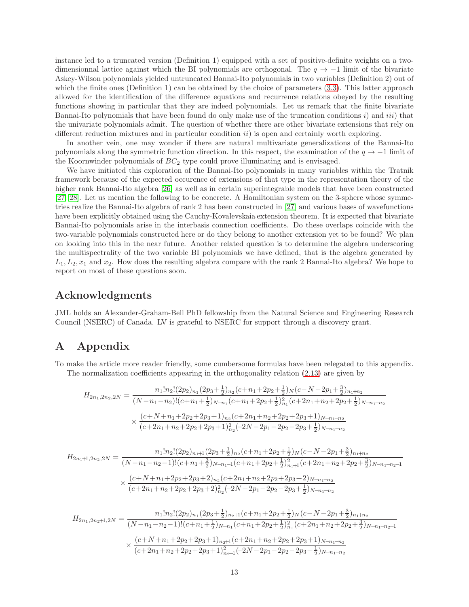instance led to a truncated version (Definition 1) equipped with a set of positive-definite weights on a twodimensionnal lattice against which the BI polynomials are orthogonal. The  $q \to -1$  limit of the bivariate Askey-Wilson polynomials yielded untruncated Bannai-Ito polynomials in two variables (Definition 2) out of which the finite ones (Definition 1) can be obtained by the choice of parameters  $(3.3)$ . This latter approach allowed for the identification of the difference equations and recurrence relations obeyed by the resulting functions showing in particular that they are indeed polynomials. Let us remark that the finite bivariate Bannai-Ito polynomials that have been found do only make use of the truncation conditions  $i$ ) and  $iii$ ) that the univariate polynomials admit. The question of whether there are other bivariate extensions that rely on different reduction mixtures and in particular condition  $ii$ ) is open and certainly worth exploring.

In another vein, one may wonder if there are natural multivariate generalizations of the Bannai-Ito polynomials along the symmetric function direction. In this respect, the examination of the  $q \to -1$  limit of the Koornwinder polynomials of  $BC_2$  type could prove illuminating and is envisaged.

We have initiated this exploration of the Bannai-Ito polynomials in many variables within the Tratnik framework because of the expected occurence of extensions of that type in the representation theory of the higher rank Bannai-Ito algebra [\[26\]](#page-18-1) as well as in certain superintegrable models that have been constructed [\[27,](#page-18-2) [28\]](#page-18-3). Let us mention the following to be concrete. A Hamiltonian system on the 3-sphere whose symmetries realize the Bannai-Ito algebra of rank 2 has been constructed in [\[27\]](#page-18-2) and various bases of wavefunctions have been explicitly obtained using the Cauchy-Kovalevskaia extension theorem. It is expected that bivariate Bannai-Ito polynomials arise in the interbasis connection coefficients. Do these overlaps coincide with the two-variable polynomials constructed here or do they belong to another extension yet to be found? We plan on looking into this in the near future. Another related question is to determine the algebra underscoring the multispectrality of the two variable BI polynomials we have defined, that is the algebra generated by  $L_1, L_2, x_1$  and  $x_2$ . How does the resulting algebra compare with the rank 2 Bannai-Ito algebra? We hope to report on most of these questions soon.

### Acknowledgments

JML holds an Alexander-Graham-Bell PhD fellowship from the Natural Science and Engineering Research Council (NSERC) of Canada. LV is grateful to NSERC for support through a discovery grant.

## A Appendix

To make the article more reader friendly, some cumbersome formulas have been relegated to this appendix. The normalization coefficients appearing in the orthogonality relation [\(2.13\)](#page-5-5) are given by

$$
H_{2n_1,2n_2,2N} = \frac{n_1! n_2! (2p_2)_{n_1} (2p_3 + \frac{1}{2})_{n_2} (c + n_1 + 2p_2 + \frac{1}{2})_N (c - N - 2p_1 + \frac{3}{2})_{n_1 + n_2}}{(N - n_1 - n_2)! (c + n_1 + \frac{1}{2})_{N - n_1} (c + n_1 + 2p_2 + \frac{1}{2})_{n_1}^2 (c + 2n_1 + n_2 + 2p_2 + \frac{1}{2})_{N - n_1 - n_2}}
$$
  

$$
\times \frac{(c + N + n_1 + 2p_2 + 2p_3 + 1)_{n_2} (c + 2n_1 + n_2 + 2p_2 + 2p_3 + 1)_{N - n_1 - n_2}}{(c + 2n_1 + n_2 + 2p_2 + 2p_3 + 1)_{n_2}^2 (-2N - 2p_1 - 2p_2 - 2p_3 + \frac{1}{2})_{N - n_1 - n_2}}
$$

$$
H_{2n_1+1,2n_2,2N} = \frac{n_1! n_2! (2p_2)_{n_1+1} (2p_3 + \frac{1}{2})_{n_2} (c + n_1 + 2p_2 + \frac{1}{2})_N (c - N - 2p_1 + \frac{3}{2})_{n_1+n_2}}{(N - n_1 - n_2 - 1)! (c + n_1 + \frac{3}{2})_{N-n_1-1} (c + n_1 + 2p_2 + \frac{1}{2})_{n_1+1}^2 (c + 2n_1 + n_2 + 2p_2 + \frac{3}{2})_{N-n_1-n_2-1}}
$$
  

$$
\times \frac{(c + N + n_1 + 2p_2 + 2p_3 + 2)_{n_2} (c + 2n_1 + n_2 + 2p_2 + 2p_3 + 2)_{N-n_1-n_2}}{(c + 2n_1 + n_2 + 2p_2 + 2p_3 + 2)_{n_2}^2 (-2N - 2p_1 - 2p_2 - 2p_3 + \frac{1}{2})_{N-n_1-n_2}}
$$

$$
H_{2n_1,2n_2+1,2N} = \frac{n_1! n_2! (2p_2)_{n_1} (2p_3 + \frac{1}{2})_{n_2+1} (c + n_1 + 2p_2 + \frac{1}{2})_N (c - N - 2p_1 + \frac{3}{2})_{n_1+n_2}}{(N - n_1 - n_2 - 1)! (c + n_1 + \frac{1}{2})_{N-n_1} (c + n_1 + 2p_2 + \frac{1}{2})_{n_1}^2 (c + 2n_1 + n_2 + 2p_2 + \frac{3}{2})_{N-n_1-n_2-1}}
$$
  

$$
\times \frac{(c + N + n_1 + 2p_2 + 2p_3 + 1)_{n_2+1} (c + 2n_1 + n_2 + 2p_2 + 2p_3 + 1)_{N-n_1-n_2}}{(c + 2n_1 + n_2 + 2p_2 + 2p_3 + 1)_{n_2+1}^2 (-2N - 2p_1 - 2p_2 - 2p_3 + \frac{1}{2})_{N-n_1-n_2}}
$$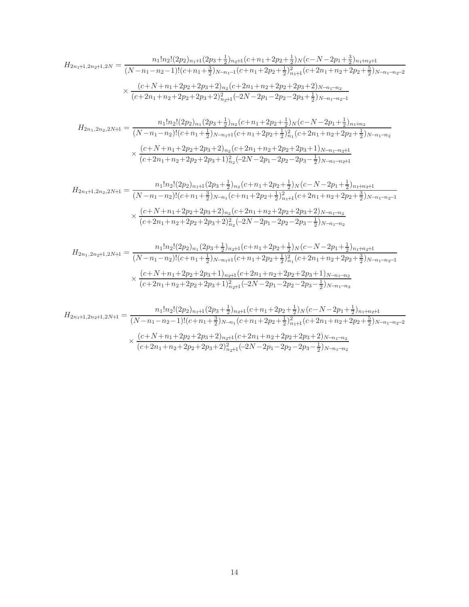$$
H_{2n_1+1,2n_2+1,2N} = \frac{n_1! n_2! (2p_2)_{n_1+1} (2p_3 + \frac{1}{2})_{n_2+1} (c + n_1 + 2p_2 + \frac{1}{2})_N (c - N - 2p_1 + \frac{3}{2})_{n_1+n_2+1}}{(N - n_1 - n_2 - 1)! (c + n_1 + \frac{3}{2})_{N-n_1-1} (c + n_1 + 2p_2 + \frac{1}{2})_{n_1+1}^2 (c + 2n_1 + n_2 + 2p_2 + \frac{5}{2})_{N-n_1-n_2-2}}
$$
  

$$
\times \frac{(c + N + n_1 + 2p_2 + 2p_3 + 2)_{n_2} (c + 2n_1 + n_2 + 2p_2 + 2p_3 + 2)_{N-n_1-n_2}}{(c + 2n_1 + n_2 + 2p_2 + 2p_3 + 2)_{n_2+1}^2 (-2N - 2p_1 - 2p_2 - 2p_3 + \frac{1}{2})_{N-n_1-n_2-1}}
$$

$$
H_{2n_1,2n_2,2N+1} = \frac{n_1! n_2! (2p_2)_{n_1} (2p_3 + \frac{1}{2})_{n_2} (c + n_1 + 2p_2 + \frac{1}{2})_N (c - N - 2p_1 + \frac{1}{2})_{n_1 + n_2}}{(N - n_1 - n_2)! (c + n_1 + \frac{1}{2})_{N - n_1 + 1} (c + n_1 + 2p_2 + \frac{1}{2})_{n_1}^2 (c + 2n_1 + n_2 + 2p_2 + \frac{1}{2})_{N - n_1 - n_2}}
$$
  

$$
\times \frac{(c + N + n_1 + 2p_2 + 2p_3 + 2)_{n_2} (c + 2n_1 + n_2 + 2p_2 + 2p_3 + 1)_{N - n_1 - n_2 + 1}}{(c + 2n_1 + n_2 + 2p_2 + 2p_3 + 1)_{n_2}^2 (-2N - 2p_1 - 2p_2 - 2p_3 - \frac{1}{2})_{N - n_1 - n_2 + 1}}
$$

$$
H_{2n_1+1,2n_2,2N+1} = \frac{n_1!n_2!(2p_2)_{n_1+1}(2p_3+\frac{1}{2})_{n_2}(c+n_1+2p_2+\frac{1}{2})_N(c-N-2p_1+\frac{1}{2})_{n_1+n_2+1}}{(N-n_1-n_2)!(c+n_1+\frac{3}{2})_{N-n_1}(c+n_1+2p_2+\frac{1}{2})_{n_1+1}^2(c+2n_1+n_2+2p_2+\frac{3}{2})_{N-n_1-n_2-1}}
$$
  

$$
\times \frac{(c+N+n_1+2p_2+2p_3+2)_{n_2}(c+2n_1+n_2+2p_2+2p_3+2)_{N-n_1-n_2}}{(c+2n_1+n_2+2p_2+2p_3+2)_{n_2}^2(-2N-2p_1-2p_2-2p_3-\frac{1}{2})_{N-n_1-n_2}}
$$

$$
H_{2n_1,2n_2+1,2N+1} = \frac{n_1! n_2! (2p_2)_{n_1} (2p_3 + \frac{1}{2})_{n_2+1} (c + n_1 + 2p_2 + \frac{1}{2})_N (c - N - 2p_1 + \frac{1}{2})_{n_1+n_2+1}}{(N - n_1 - n_2)! (c + n_1 + \frac{1}{2})_{N-n_1+1} (c + n_1 + 2p_2 + \frac{1}{2})_{n_1}^2 (c + 2n_1 + n_2 + 2p_2 + \frac{3}{2})_{N-n_1-n_2-1}}
$$
  

$$
\times \frac{(c + N + n_1 + 2p_2 + 2p_3 + 1)_{n_2+1} (c + 2n_1 + n_2 + 2p_2 + 2p_3 + 1)_{N-n_1-n_2}}{(c + 2n_1 + n_2 + 2p_2 + 2p_3 + 1)_{n_2+1}^2 (-2N - 2p_1 - 2p_2 - 2p_3 - \frac{1}{2})_{N-n_1-n_2}}
$$

$$
H_{2n_1+1,2n_2+1,2N+1} = \frac{n_1!n_2!(2p_2)_{n_1+1}(2p_3+\frac{1}{2})_{n_2+1}(c+n_1+2p_2+\frac{1}{2})_N(c-N-2p_1+\frac{1}{2})_{n_1+n_2+1}}{(N-n_1-n_2-1)!(c+n_1+\frac{3}{2})_{N-n_1}(c+n_1+2p_2+\frac{1}{2})_{n_1+1}^2(c+2n_1+n_2+2p_2+\frac{5}{2})_{N-n_1-n_2-2}}
$$

$$
\times \frac{(c+N+n_1+2p_2+2p_3+2)_{n_2+1}(c+2n_1+n_2+2p_2+2p_3+2)_{N-n_1-n_2}}{(c+2n_1+n_2+2p_2+2p_3+2)_{n_2+1}^2(-2N-2p_1-2p_2-2p_3-\frac{1}{2})_{N-n_1-n_2}}
$$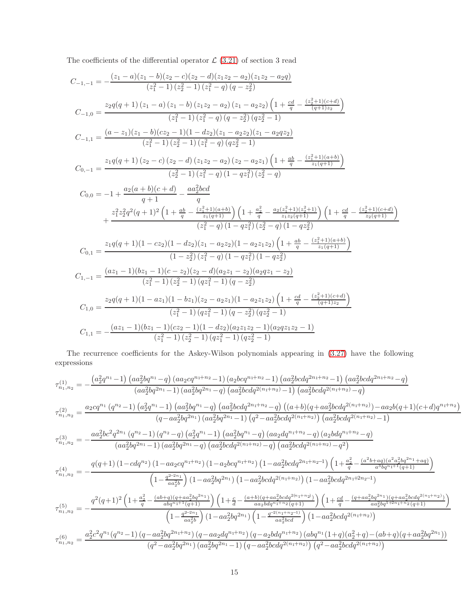The coefficients of the differential operator  $\mathcal{L}(3.21)$  $\mathcal{L}(3.21)$  of section 3 read

$$
C_{-1,-1} = -\frac{(z_1 - a)(z_1 - b)(z_2 - c)(z_2 - d)(z_1 z_2 - a_2)(z_1 z_2 - a_2 q)}{(z_1^2 - 1)(z_2^2 - 1)(z_1^2 - q) (q - z_2^2)}
$$
  
\n
$$
C_{-1,0} = \frac{z_2q(q + 1)(z_1 - a)(z_1 - b)(z_1 z_2 - a_2)(z_1 - a_2 z_2) \left(1 + \frac{cd}{q} - \frac{(z_2^2 + 1)(c+d)}{(q+1)z_2}\right)}{(z_1^2 - 1)(z_1^2 - q) (q - z_2^2)(qz_2^2 - 1)}
$$
  
\n
$$
C_{-1,1} = \frac{(a - z_1)(z_1 - b)(cz_2 - 1)(1 - dz_2)(z_1 - a_2 z_2)(z_1 - a_2 q z_2)}{(z_1^2 - 1)(z_2^2 - 1)(z_1^2 - q) (qz_2^2 - 1)}
$$
  
\n
$$
C_{0,-1} = \frac{z_1q(q + 1)(z_2 - c)(z_2 - d)(z_1 z_2 - a_2)(z_2 - a_2 z_1) \left(1 + \frac{ab}{q} - \frac{(z_1^2 + 1)(a+b)}{z_1(q+1)}\right)}{(z_2^2 - 1)(z_1^2 - q) (1 - qz_1^2)(z_2^2 - q)}
$$
  
\n
$$
C_{0,0} = -1 + \frac{a_2(a + b)(c + d)}{q + 1} - \frac{aa_2^2 bcd}{q}
$$
  
\n
$$
+ \frac{z_1^2 z_2^2 q^2(q + 1)^2 \left(1 + \frac{ab}{q} - \frac{(z_1^2 + 1)(a+b)}{z_1(q+1)}\right) \left(1 + \frac{a_2^2}{q} - \frac{a_2(z_1^2 + 1)(z_2^2 + 1)}{z_1(q+1)}\right) \left(1 + \frac{cd}{q} - \frac{(z_2^2 + 1)(c+d)}{z_2(q+1)}\right)}{(z_1^2 - q)(1 - qz_1^2)(z_2^2 - q)(1 - qz_2^2)}
$$
  
\n
$$
C_{0,1} = \frac{z
$$

The recurrence coefficients for the Askey-Wilson polynomials appearing in [\(3.27\)](#page-11-0) have the following expressions

$$
\tau^{(1)}_{n_1,n_2} = -\frac{\left(a_2^2q^{n_1}-1\right)\left(aa_2^2b q^{n_1} - q\right)\left(aa_2 c q^{n_1+n_2}-1\right)\left(a_2 b c q^{n_1+n_2}-1\right)\left(aa_2^2 b c d q^{2n_1+n_2}-1\right)\left(aa_2^2 b c d q^{2n_1+n_2}-q\right)}{\left(aa_2^2 b q^{2n_1}-1\right)\left(aa_2^2 b q^{2n_1}-q\right)\left(aa_2^2 b c d q^{2(n_1+n_2)}-1\right)\left(aa_2^2 b c d q^{2(n_1+n_2)}-q\right)} \\\left(q-a a_2^2 b q^{2n_1}-1\right)\left(a a_2^2 b q^{2n_1}-q\right)\left(a a_2^2 b c d q^{2n_1+n_2}-q\right)\left((a+b)(q+a a_2^2 b c d q^{2(n_1+n_2)})-a a_2 b (q+1)(c+d) q^{n_1+n_2}\right)}{\left(q-a a_2^2 b q^{2n_1}-1\right)\left(a a_2^2 b q^{2n_1}-1\right)\left(a a_2^2 b q^{n_1}-q\right)\left(a a_2^2 b c d q^{2(n_1+n_2)}-q\right)\left(a a_2^2 b c d q^{2(n_1+n_2)}-q\right)} \\\left(a a_2^2 b c^2 q^{2n_1}\left(q^{n_2}-1\right)\left(a a_2^2 b q^{2n_1}-q\right)\left(a a_2^2 b q^{n_1}-q\right)\left(a a_2 d q^{n_1+n_2}-q\right)\left(a_2 b d q^{n_1+n_2}-q\right)} \\\left(a a_2^2 b c^2 q^{2n_1}\left(1\right)\left(1-a a_2^2 b q^{2n_1}-q\right)\left(a a_2^2 b c d q^{2(n_1+n_2)}-q\right)\left(a a_2^2 b c d q^{2(n_1+n_2)}-q^2\right)} \\\left(1-\frac{q^{2-2n_1}}{a a_2^2 b}\right)\left(1-a a_2 c q^{n_1+n_2}\right)\left(1-a_2^2 b c d q^{2(n_1+n_2)}\right)\left(1-a_2^2 b c d q^{2n_1+n_2-1}\right) \\\left(1+\frac
$$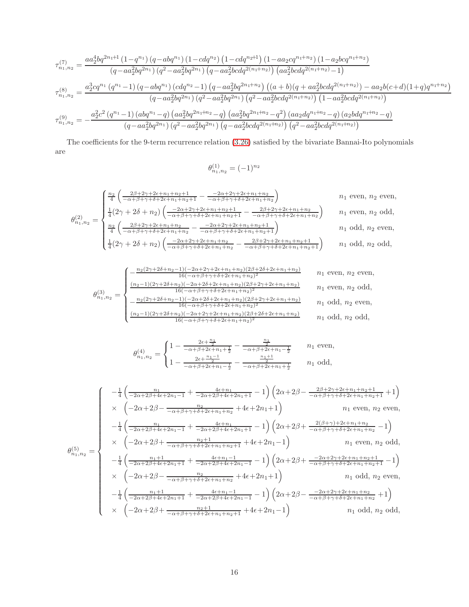$$
\tau_{n_1,n_2}^{(7)} = \frac{aa_2^4 b q^{2n_1+1} (1-q^{n_1}) (q-ab q^{n_1}) (1-cdq^{n_2}) (1-cdq^{n_2+1}) (1-a a_2 c q^{n_1+n_2}) (1-a_2 b c q^{n_1+n_2})}{(q-a a_2^2 b q^{2n_1}) (q^2-a a_2^2 b q^{2n_1}) (q-a a_2^2 b c dq^{2(n_1+n_2)}) (a a_2^2 b c dq^{2(n_1+n_2)} - 1)}
$$
\n
$$
\tau_{n_1,n_2}^{(8)} = \frac{a_2^3 c q^{n_1} (q^{n_1}-1) (q-ab q^{n_1}) (c dq^{n_2}-1) (q-a a_2^2 b q^{2n_1+n_2}) ((a+b)(q+a a_2^2 b c dq^{2(n_1+n_2)})-a a_2 b (c+d)(1+q) q^{n_1+n_2})}{(q-a a_2^2 b q^{2n_1}) (q^2-a a_2^2 b q^{2n_1}) (q^2-a a_2^2 b c dq^{2(n_1+n_2)}) (1-a a_2^2 b c dq^{2(n_1+n_2)})}
$$
\n
$$
\tau_{n_1,n_2}^{(9)} = -\frac{a_2^2 c^2 (q^{n_1}-1) (ab q^{n_1}-q) (a a_2^2 b q^{2n_1+n_2}-q) (a a_2^2 b q^{2n_1+n_2}-q^2) (a a_2 d q^{n_1+n_2}-q) (a_2 b dq^{n_1+n_2}-q)}{(q-a a_2^2 b q^{2n_1}) (q^2-a a_2^2 b c dq^{2(n_1+n_2)}) (q^2-a a_2^2 b c dq^{2(n_1+n_2)})}
$$

The coefficients for the 9-term recurrence relation [\(3.26\)](#page-10-1) satisfied by the bivariate Bannai-Ito polynomials are

$$
\theta_{n_1,n_2}^{(1)} = (-1)^{n_2}
$$

$$
\theta_{n_1,n_2}^{(2)} = \begin{cases}\n\frac{n_2}{4} \left( \frac{2\beta + 2\gamma + 2\epsilon + n_1 + n_2 + 1}{-\alpha + \beta + \gamma + \delta + 2\epsilon + n_1 + n_2 + 1} - \frac{-2\alpha + 2\gamma + 2\epsilon + n_1 + n_2}{-\alpha + \beta + \gamma + \delta + 2\epsilon + n_1 + n_2} \right) & n_1 \text{ even, } n_2 \text{ even,} \\
\frac{1}{4} (2\gamma + 2\delta + n_2) \left( \frac{-2\alpha + 2\gamma + 2\epsilon + n_1 + n_2 + 1}{-\alpha + \beta + \gamma + \delta + 2\epsilon + n_1 + n_2 + 1} - \frac{2\beta + 2\gamma + 2\epsilon + n_1 + n_2}{-\alpha + \beta + \gamma + \delta + 2\epsilon + n_1 + n_2} \right) & n_1 \text{ even, } n_2 \text{ odd,} \\
\frac{n_2}{4} \left( \frac{2\beta + 2\gamma + 2\epsilon + n_1 + n_2}{-\alpha + \beta + \gamma + \delta + 2\epsilon + n_1 + n_2} - \frac{-2\alpha + 2\gamma + 2\epsilon + n_1 + n_2 + 1}{-\alpha + \beta + \gamma + \delta + 2\epsilon + n_1 + n_2 + 1} \right) & n_1 \text{ odd, } n_2 \text{ even,} \\
\frac{1}{4} (2\gamma + 2\delta + n_2) \left( \frac{-2\alpha + 2\gamma + 2\epsilon + n_1 + n_2}{-\alpha + \beta + \gamma + \delta + 2\epsilon + n_1 + n_2} - \frac{2\beta + 2\gamma + 2\epsilon + n_1 + n_2 + 1}{-\alpha + \beta + \gamma + \delta + 2\epsilon + n_1 + n_2 + 1} \right) & n_1 \text{ odd, } n_2 \text{ odd,} \n\end{cases}
$$

$$
\theta_{n_1,n_2}^{(3)} = \begin{cases}\n-\frac{n_2(2\gamma + 2\delta + n_2 - 1)(-2\alpha + 2\gamma + 2\epsilon + n_1 + n_2)(2\beta + 2\delta + 2\epsilon + n_1 + n_2)}{16(-\alpha + \beta + \gamma + \delta + 2\epsilon + n_1 + n_2)^2} & n_1 \text{ even, } n_2 \text{ even,} \\
\frac{(n_2 - 1)(2\gamma + 2\delta + n_2)(-2\alpha + 2\delta + 2\epsilon + n_1 + n_2)(2\beta + 2\gamma + 2\epsilon + n_1 + n_2)}{16(-\alpha + \beta + \gamma + \delta + 2\epsilon + n_1 + n_2)^2} & n_1 \text{ even, } n_2 \text{ odd,} \\
-\frac{n_2(2\gamma + 2\delta + n_2 - 1)(-2\alpha + 2\delta + 2\epsilon + n_1 + n_2)(2\beta + 2\gamma + 2\epsilon + n_1 + n_2)}{16(-\alpha + \beta + \gamma + \delta + 2\epsilon + n_1 + n_2)^2} & n_1 \text{ odd, } n_2 \text{ even,} \\
\frac{(n_2 - 1)(2\gamma + 2\delta + n_2)(-2\alpha + 2\gamma + 2\epsilon + n_1 + n_2)(2\beta + 2\delta + 2\epsilon + n_1 + n_2)}{16(-\alpha + \beta + \gamma + \delta + 2\epsilon + n_1 + n_2)^2} & n_1 \text{ odd, } n_2 \text{ odd,}\n\end{cases}
$$

$$
\theta_{n_1,n_2}^{(4)} = \begin{cases} 1 - \frac{2\epsilon + \frac{n_1}{2}}{-\alpha + \beta + 2\epsilon + n_1 + \frac{1}{2}} - \frac{\frac{n_1}{2}}{-\alpha + \beta + 2\epsilon + n_1 - \frac{1}{2}} & n_1 \text{ even,} \\ 1 - \frac{2\epsilon + \frac{n_1 - 1}{2}}{-\alpha + \beta + 2\epsilon + n_1 - \frac{1}{2}} - \frac{\frac{n_1 + 1}{2}}{-\alpha + \beta + 2\epsilon + n_1 + \frac{1}{2}} & n_1 \text{ odd,} \end{cases}
$$

$$
\theta_{n_{1},n_{2}}^{\left(-\frac{1}{2}\left(\frac{n_{1}}{-2\alpha+2\beta+4\epsilon+2n_{1}-1}+\frac{4\epsilon+n_{1}}{-2\alpha+2\beta+4\epsilon+2n_{1}+1}-1\right)\left(2\alpha+2\beta-\frac{2\beta+2\gamma+2\epsilon+n_{1}+n_{2}+1}{-\alpha+\beta+\gamma+\delta+2\epsilon+n_{1}+n_{2}+1}+1\right)\right)}{\alpha_{1} \text{ even, }n_{2} \text{ even,}}\newline
$$
\n
$$
\theta_{n_{1},n_{2}}^{\left(-\frac{n_{1}}{2}\left(\frac{n_{1}}{-2\alpha+2\beta+4\epsilon+2n_{1}-1}+\frac{4\epsilon+n_{1}}{-2\alpha+2\beta+4\epsilon+2n_{1}+1}-1\right)\left(2\alpha+2\beta+\frac{2(\beta+\gamma)+2\epsilon+n_{1}+n_{2}}{-\alpha+\beta+\gamma+\delta+2\epsilon+n_{1}+n_{2}}-1\right)\right)}{\alpha_{1} \text{ even, }n_{2} \text{ even,}}\newline
$$
\n
$$
\theta_{n_{1},n_{2}}^{\left(5\right)} =\n\begin{cases}\n-\frac{1}{4}\left(\frac{n_{1}}{-2\alpha+2\beta+\frac{1}{2\alpha+\beta+\gamma+\delta+2\epsilon+n_{1}+n_{2}+1}+4\epsilon+2n_{1}-1}\right)\left(2\alpha+2\beta+\frac{2(\beta+\gamma)+2\epsilon+n_{1}+n_{2}}{-\alpha+\beta+\gamma+\delta+2\epsilon+n_{1}+n_{2}}-1\right)\right. \\
\left.\left.\left.\begin{array}{c}n_{2}\left(-2\alpha+2\beta-\frac{n_{2}}{-\alpha+\beta+\gamma+\delta+2\epsilon+n_{1}+n_{2}+1}-1\right)\left(2\alpha+2\beta+\frac{-2\alpha+2\gamma+2\epsilon+n_{1}+n_{2}+1}{-\alpha+\beta+\gamma+\delta+2\epsilon+n_{1}+n_{2}+1}-1\right)\right) \\
x\left(-2\alpha+2\beta-\frac{n_{2}}{-\alpha+\beta+\gamma+\delta+2\epsilon+n_{1}+n_{2}}+4\epsilon+2n_{1}+1\right) & n_{1} \text{ odd, }n_{2} \text{ even,} \\
-\frac{1}{4}\left(\frac{n_{1}+1}{-2\alpha+2\beta+4\epsilon+2n_{1}+1}+\frac{4\epsilon
$$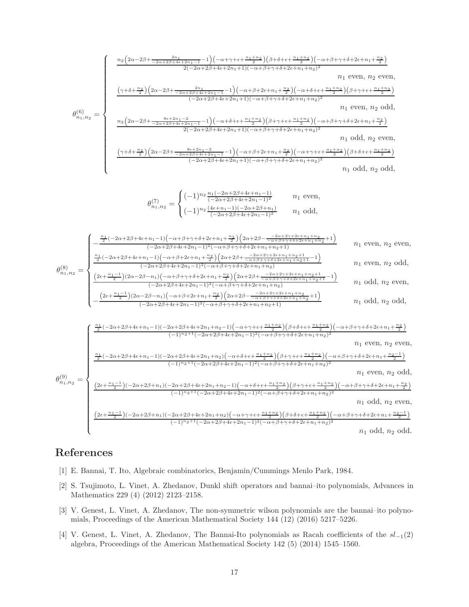$$
\theta_{n_{1},n_{2}}^{(1)} = \begin{cases}\n\frac{n_{2}\left(2\alpha-2\beta+\frac{2n_{1}}{-2\alpha+2\beta+4\epsilon+2n_{1}-1}-1\right)\left(-\alpha+\gamma+\epsilon+\frac{n_{1}+n_{2}}{2}\right)\left(\beta+\delta+\epsilon+\frac{n_{1}+n_{2}}{2}\right)\left(-\alpha+\beta+\gamma+\delta+2\epsilon+n_{1}+\frac{n_{2}}{2}\right)}{2(-2\alpha+2\beta+4\epsilon+2n_{1}+1)\left(-\alpha+\beta+\gamma+\delta+2\epsilon+n_{1}+n_{2}\right)^{2}} & n_{1} \text{ even, } n_{2} \text{ even,} \\
\frac{\left(\gamma+\delta+\frac{n_{2}}{2}\right)\left(2\alpha-2\beta+\frac{2n_{1}}{-2\alpha+2\beta+4\epsilon+2n_{1}-1}-1\right)\left(-\alpha+\beta+2\epsilon+n_{1}+\frac{n_{2}}{2}\right)\left(-\alpha+\delta+\epsilon+\frac{n_{1}+n_{2}}{2}\right)\left(\beta+\gamma+\epsilon+\frac{n_{1}+n_{2}}{2}\right)}{2(-2\alpha+2\beta+4\epsilon+2n_{1}+1)\left(-\alpha+\beta+\gamma+\delta+2\epsilon+n_{1}+n_{2}\right)^{2}} & n_{1} \text{ even, } n_{2} \text{ odd,} \\
\frac{n_{2}\left(2\alpha-2\beta+\frac{8\epsilon+2n_{1}-2}{-2\alpha+2\beta+4\epsilon+2n_{1}-1}-1\right)\left(-\alpha+\delta+\epsilon+\frac{n_{1}+n_{2}}{2}\right)\left(\beta+\gamma+\epsilon+\frac{n_{1}+n_{2}}{2}\right)\left(-\alpha+\beta+\gamma+\delta+2\epsilon+n_{1}+\frac{n_{2}}{2}\right)}{2(-2\alpha+2\beta+4\epsilon+2n_{1}+1)\left(-\alpha+\beta+\gamma+\delta+2\epsilon+n_{1}+n_{2}\right)^{2}} & n_{1} \text{ odd, } n_{2} \text{ even,} \\
\frac{\left(\gamma+\delta+\frac{n_{2}}{2}\right)\left(2\alpha-2\beta+\frac{8\epsilon+2n_{1}-2}{-2\alpha+2\beta+4\epsilon+2n_{1}-1}-1\right)\left(-\alpha+\beta+2\epsilon+n_{1}+\frac{n_{2}}{2}\right)\left(-\alpha+\gamma+\epsilon+\frac{n_{1}+n_{2}}{2}\right)\left(\beta+\delta+\epsilon+\frac{n_{1}+n_{2}}{2
$$

θ (8) <sup>n</sup>1,n<sup>2</sup> = n1 2 (−2α+2β+4ǫ+n1−1)(<sup>−</sup>α+β+2ǫ+n1<sup>+</sup> n2 <sup>2</sup> ) 2α+2β+ <sup>−</sup>2α+2γ+2ǫ+n1+n2+1 <sup>−</sup>α+β+γ+δ+2ǫ+n1+n2+1 <sup>−</sup><sup>1</sup> (−2α+2β+4ǫ+2n1−1)2(−α+β+γ+δ+2ǫ+n1+n2) n<sup>1</sup> even, n<sup>2</sup> odd, (<sup>2</sup>ǫ<sup>+</sup> <sup>n</sup>1−<sup>1</sup> <sup>2</sup> )(2α−2β−n1)(<sup>−</sup>α+β+γ+δ+2ǫ+n1<sup>+</sup> n2 <sup>2</sup> ) 2α+2β+ <sup>−</sup>2α+2γ+2ǫ+n1+n2+1 <sup>−</sup>α+β+γ+δ+2ǫ+n1+n2+1 <sup>−</sup><sup>1</sup> (−2α+2β+4ǫ+2n1−1)2(−α+β+γ+δ+2ǫ+n1+n2) n<sup>1</sup> odd, n<sup>2</sup> even, − (<sup>2</sup>ǫ<sup>+</sup> <sup>n</sup>1−<sup>1</sup> <sup>2</sup> )(2α−2β−n1)(<sup>−</sup>α+β+2ǫ+n1<sup>+</sup> n2 <sup>2</sup> ) 2α+2β− <sup>−</sup>2α+2γ+2ǫ+n1+n<sup>2</sup> <sup>−</sup>α+β+γ+δ+2ǫ+n1+n<sup>2</sup> +1 (−2α+2β+4ǫ+2n1−1)2(−α+β+γ+δ+2ǫ+n1+n2+1) n<sup>1</sup> odd, n<sup>2</sup> odd,

$$
\theta_{n_{1},n_{2}}^{(9)} = \begin{cases}\n\frac{\frac{n_{1}}{2}(-2\alpha+2\beta+4\epsilon+n_{1}-1)(-2\alpha+2\beta+4\epsilon+2n_{1}+n_{2}-1)(-\alpha+\gamma+\epsilon+\frac{n_{1}+n_{2}}{2})(\beta+\delta+\epsilon+\frac{n_{1}+n_{2}}{2})(-\alpha+\beta+\gamma+\delta+2\epsilon+n_{1}+\frac{n_{2}}{2})}{(1)^{n_{2}+1}(-2\alpha+2\beta+4\epsilon+2n_{1}-1)^{2}(-\alpha+\beta+\gamma+\delta+2\epsilon+n_{1}+n_{2})^{2}} & n_{1} \text{ even, } n_{2} \text{ even,} \\
\frac{\frac{n_{1}}{2}(-2\alpha+2\beta+4\epsilon+n_{1}-1)(-2\alpha+2\beta+4\epsilon+2n_{1}+n_{2})(-\alpha+\delta+\epsilon+\frac{n_{1}+n_{2}}{2})(\beta+\gamma+\epsilon+\frac{n_{1}+n_{2}}{2})(-\alpha+\beta+\gamma+\delta+2\epsilon+n_{1}+\frac{n_{2}-1}{2})}{(-1)^{n_{2}+1}(-2\alpha+2\beta+4\epsilon+2n_{1}-1)^{2}(-\alpha+\beta+\gamma+\delta+2\epsilon+n_{1}+n_{2})^{2}} & n_{1} \text{ even, } n_{2} \text{ odd,} \\
\frac{(2\epsilon+\frac{n_{1}-1}{2})(-2\alpha+2\beta+n_{1})(-2\alpha+2\beta+4\epsilon+2n_{1}+n_{2}-1)(-\alpha+\delta+\epsilon+\frac{n_{1}+n_{2}}{2})(\beta+\gamma+\epsilon+\frac{n_{1}+n_{2}}{2})(-\alpha+\beta+\gamma+\delta+2\epsilon+n_{1}+\frac{n_{2}}{2})}{(1)^{n_{2}+1}(-2\alpha+2\beta+4\epsilon+2n_{1}-1)^{2}(-\alpha+\beta+\gamma+\delta+2\epsilon+n_{1}+n_{2})^{2}} & n_{1} \text{ odd, } n_{2} \text{ even,} \\
\frac{(2\epsilon+\frac{n_{1}-1}{2})(-2\alpha+2\beta+n_{1})(-2\alpha+2\beta+4\epsilon+2n_{1}+n_{2})(-\alpha+\gamma+\epsilon+\frac{n_{1}+n_{2}}{2})(\beta+\delta+\epsilon+\frac{n_{1}+n_{2}}{2})(-\alpha+\beta+\gamma+\delta+2\epsilon+n_{1}+\frac{n_{2}-1}{2})}{(1)^{n_{2}+1}(-2\alpha+2\beta
$$

## <span id="page-16-0"></span>References

- <span id="page-16-1"></span>[1] E. Bannai, T. Ito, Algebraic combinatorics, Benjamin/Cummings Menlo Park, 1984.
- [2] S. Tsujimoto, L. Vinet, A. Zhedanov, Dunkl shift operators and bannai–ito polynomials, Advances in Mathematics 229 (4) (2012) 2123–2158.
- <span id="page-16-2"></span>[3] V. Genest, L. Vinet, A. Zhedanov, The non-symmetric wilson polynomials are the bannai–ito polynomials, Proceedings of the American Mathematical Society 144 (12) (2016) 5217–5226.
- <span id="page-16-3"></span>[4] V. Genest, L. Vinet, A. Zhedanov, The Bannai-Ito polynomials as Racah coefficients of the sl<sup>−</sup>1(2) algebra, Proceedings of the American Mathematical Society 142 (5) (2014) 1545–1560.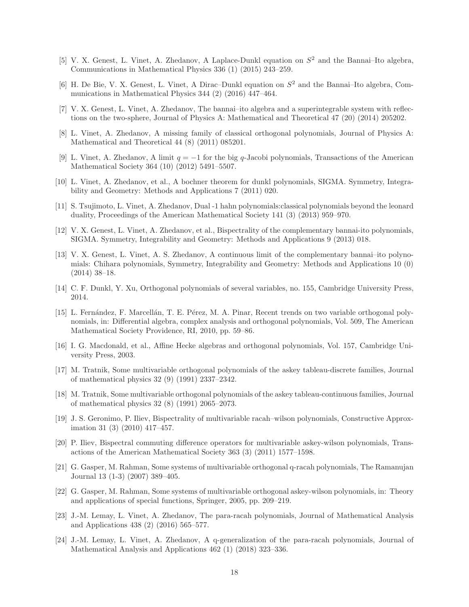- <span id="page-17-0"></span>[5] V. X. Genest, L. Vinet, A. Zhedanov, A Laplace-Dunkl equation on  $S^2$  and the Bannai-Ito algebra, Communications in Mathematical Physics 336 (1) (2015) 243–259.
- <span id="page-17-2"></span><span id="page-17-1"></span>[6] H. De Bie, V. X. Genest, L. Vinet, A Dirac-Dunkl equation on  $S^2$  and the Bannai-Ito algebra, Communications in Mathematical Physics 344 (2) (2016) 447–464.
- <span id="page-17-3"></span>[7] V. X. Genest, L. Vinet, A. Zhedanov, The bannai–ito algebra and a superintegrable system with reflections on the two-sphere, Journal of Physics A: Mathematical and Theoretical 47 (20) (2014) 205202.
- <span id="page-17-4"></span>[8] L. Vinet, A. Zhedanov, A missing family of classical orthogonal polynomials, Journal of Physics A: Mathematical and Theoretical 44 (8) (2011) 085201.
- [9] L. Vinet, A. Zhedanov, A limit  $q = -1$  for the big q-Jacobi polynomials, Transactions of the American Mathematical Society 364 (10) (2012) 5491–5507.
- <span id="page-17-6"></span><span id="page-17-5"></span>[10] L. Vinet, A. Zhedanov, et al., A bochner theorem for dunkl polynomials, SIGMA. Symmetry, Integrability and Geometry: Methods and Applications 7 (2011) 020.
- <span id="page-17-7"></span>[11] S. Tsujimoto, L. Vinet, A. Zhedanov, Dual -1 hahn polynomials:classical polynomials beyond the leonard duality, Proceedings of the American Mathematical Society 141 (3) (2013) 959–970.
- <span id="page-17-8"></span>[12] V. X. Genest, L. Vinet, A. Zhedanov, et al., Bispectrality of the complementary bannai-ito polynomials, SIGMA. Symmetry, Integrability and Geometry: Methods and Applications 9 (2013) 018.
- [13] V. X. Genest, L. Vinet, A. S. Zhedanov, A continuous limit of the complementary bannai–ito polynomials: Chihara polynomials, Symmetry, Integrability and Geometry: Methods and Applications 10 (0) (2014) 38–18.
- <span id="page-17-10"></span><span id="page-17-9"></span>[14] C. F. Dunkl, Y. Xu, Orthogonal polynomials of several variables, no. 155, Cambridge University Press, 2014.
- [15] L. Fernández, F. Marcellán, T. E. Pérez, M. A. Pinar, Recent trends on two variable orthogonal polynomials, in: Differential algebra, complex analysis and orthogonal polynomials, Vol. 509, The American Mathematical Society Providence, RI, 2010, pp. 59–86.
- <span id="page-17-11"></span>[16] I. G. Macdonald, et al., Affine Hecke algebras and orthogonal polynomials, Vol. 157, Cambridge University Press, 2003.
- <span id="page-17-12"></span>[17] M. Tratnik, Some multivariable orthogonal polynomials of the askey tableau-discrete families, Journal of mathematical physics 32 (9) (1991) 2337–2342.
- <span id="page-17-13"></span>[18] M. Tratnik, Some multivariable orthogonal polynomials of the askey tableau-continuous families, Journal of mathematical physics 32 (8) (1991) 2065–2073.
- <span id="page-17-14"></span>[19] J. S. Geronimo, P. Iliev, Bispectrality of multivariable racah–wilson polynomials, Constructive Approximation 31 (3) (2010) 417–457.
- <span id="page-17-15"></span>[20] P. Iliev, Bispectral commuting difference operators for multivariable askey-wilson polynomials, Transactions of the American Mathematical Society 363 (3) (2011) 1577–1598.
- <span id="page-17-16"></span>[21] G. Gasper, M. Rahman, Some systems of multivariable orthogonal q-racah polynomials, The Ramanujan Journal 13 (1-3) (2007) 389–405.
- <span id="page-17-17"></span>[22] G. Gasper, M. Rahman, Some systems of multivariable orthogonal askey-wilson polynomials, in: Theory and applications of special functions, Springer, 2005, pp. 209–219.
- <span id="page-17-18"></span>[23] J.-M. Lemay, L. Vinet, A. Zhedanov, The para-racah polynomials, Journal of Mathematical Analysis and Applications 438 (2) (2016) 565–577.
- <span id="page-17-19"></span>[24] J.-M. Lemay, L. Vinet, A. Zhedanov, A q-generalization of the para-racah polynomials, Journal of Mathematical Analysis and Applications 462 (1) (2018) 323–336.